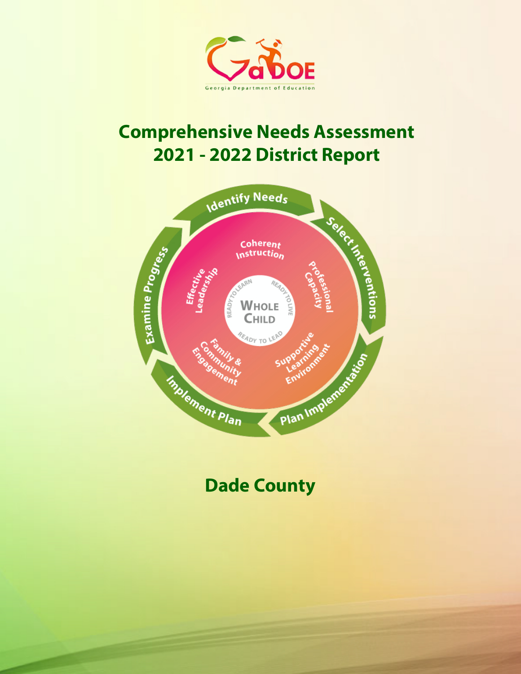

# **Comprehensive Needs Assessment 2021 - 2022 District Report**



# **Dade County**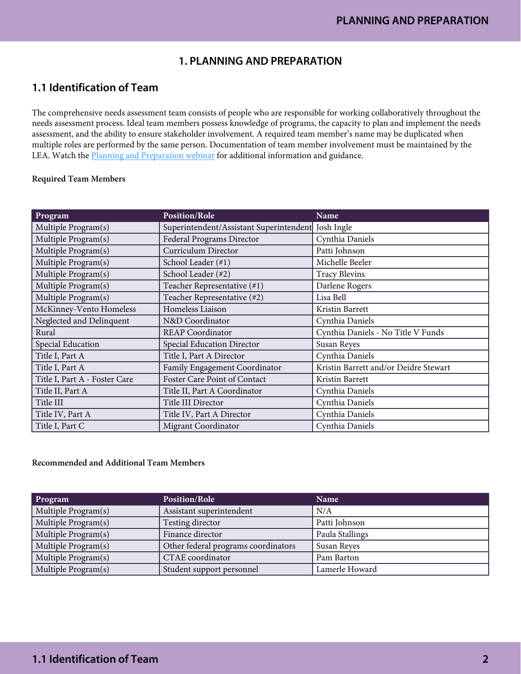# **1. PLANNING AND PREPARATION**

# **1.1 Identification of Team**

The comprehensive needs assessment team consists of people who are responsible for working collaboratively throughout the needs assessment process. Ideal team members possess knowledge of programs, the capacity to plan and implement the needs assessment, and the ability to ensure stakeholder involvement. A required team member's name may be duplicated when multiple roles are performed by the same person. Documentation of team member involvement must be maintained by the LEA. Watch the [Planning and Preparation webinar](https://www.gadoe.org/School-Improvement/School-Improvement-Services/Pages/Georgia%E2%80%99s-Systems-of-Continuous-Improvement.aspx) for additional information and guidance.

#### Required Team Members

| Program                       | Position/Role                           | Name                                  |
|-------------------------------|-----------------------------------------|---------------------------------------|
| Multiple Program(s)           | Superintendent/Assistant Superintendent | Josh Ingle                            |
| Multiple Program(s)           | Federal Programs Director               | Cynthia Daniels                       |
| Multiple Program(s)           | Curriculum Director                     | Patti Johnson                         |
| Multiple Program(s)           | School Leader (#1)                      | Michelle Beeler                       |
| Multiple Program(s)           | School Leader (#2)                      | <b>Tracy Blevins</b>                  |
| Multiple Program(s)           | Teacher Representative (#1)             | Darlene Rogers                        |
| Multiple Program(s)           | Teacher Representative (#2)             | Lisa Bell                             |
| McKinney-Vento Homeless       | Homeless Liaison                        | Kristin Barrett                       |
| Neglected and Delinquent      | N&D Coordinator                         | Cynthia Daniels                       |
| Rural                         | <b>REAP Coordinator</b>                 | Cynthia Daniels - No Title V Funds    |
| Special Education             | Special Education Director              | Susan Reyes                           |
| Title I, Part A               | Title I, Part A Director                | Cynthia Daniels                       |
| Title I, Part A               | Family Engagement Coordinator           | Kristin Barrett and/or Deidre Stewart |
| Title I, Part A - Foster Care | Foster Care Point of Contact            | Kristin Barrett                       |
| Title II, Part A              | Title II, Part A Coordinator            | Cynthia Daniels                       |
| Title III                     | Title III Director                      | Cynthia Daniels                       |
| Title IV, Part A              | Title IV, Part A Director               | Cynthia Daniels                       |
| Title I, Part C               | Migrant Coordinator                     | Cynthia Daniels                       |

#### Recommended and Additional Team Members

| Program             | <b>Position/Role</b>                | Name            |
|---------------------|-------------------------------------|-----------------|
| Multiple Program(s) | Assistant superintendent            | N/A             |
| Multiple Program(s) | Testing director                    | Patti Johnson   |
| Multiple Program(s) | Finance director                    | Paula Stallings |
| Multiple Program(s) | Other federal programs coordinators | Susan Reyes     |
| Multiple Program(s) | CTAE coordinator                    | Pam Barton      |
| Multiple Program(s) | Student support personnel           | Lamerle Howard  |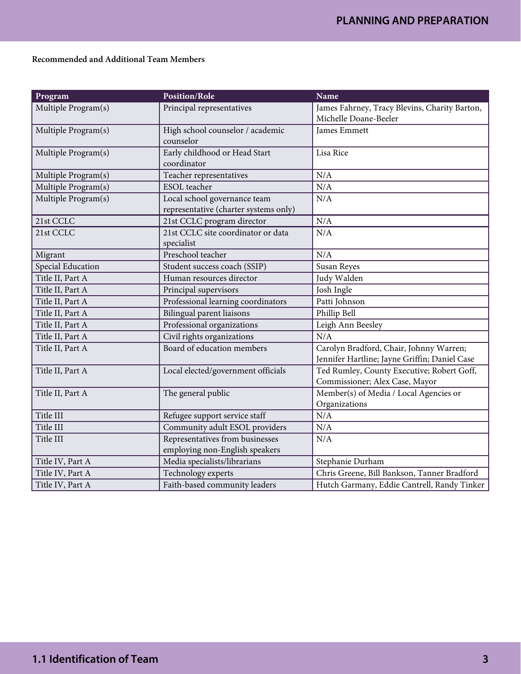## Recommended and Additional Team Members

| Program             | <b>Position/Role</b>                                                  | <b>Name</b>                                                                              |
|---------------------|-----------------------------------------------------------------------|------------------------------------------------------------------------------------------|
| Multiple Program(s) | Principal representatives                                             | James Fahrney, Tracy Blevins, Charity Barton,<br>Michelle Doane-Beeler                   |
| Multiple Program(s) | High school counselor / academic<br>counselor                         | James Emmett                                                                             |
| Multiple Program(s) | Early childhood or Head Start<br>coordinator                          | Lisa Rice                                                                                |
| Multiple Program(s) | Teacher representatives                                               | N/A                                                                                      |
| Multiple Program(s) | <b>ESOL</b> teacher                                                   | N/A                                                                                      |
| Multiple Program(s) | Local school governance team<br>representative (charter systems only) | N/A                                                                                      |
| 21st CCLC           | 21st CCLC program director                                            | N/A                                                                                      |
| 21st CCLC           | 21st CCLC site coordinator or data<br>specialist                      | N/A                                                                                      |
| Migrant             | Preschool teacher                                                     | N/A                                                                                      |
| Special Education   | Student success coach (SSIP)                                          | Susan Reyes                                                                              |
| Title II, Part A    | Human resources director                                              | Judy Walden                                                                              |
| Title II, Part A    | Principal supervisors                                                 | Josh Ingle                                                                               |
| Title II, Part A    | Professional learning coordinators                                    | Patti Johnson                                                                            |
| Title II, Part A    | Bilingual parent liaisons                                             | Phillip Bell                                                                             |
| Title II, Part A    | Professional organizations                                            | Leigh Ann Beesley                                                                        |
| Title II, Part A    | Civil rights organizations                                            | N/A                                                                                      |
| Title II, Part A    | Board of education members                                            | Carolyn Bradford, Chair, Johnny Warren;<br>Jennifer Hartline; Jayne Griffin; Daniel Case |
| Title II, Part A    | Local elected/government officials                                    | Ted Rumley, County Executive; Robert Goff,<br>Commissioner; Alex Case, Mayor             |
| Title II, Part A    | The general public                                                    | Member(s) of Media / Local Agencies or<br>Organizations                                  |
| Title III           | Refugee support service staff                                         | N/A                                                                                      |
| Title III           | Community adult ESOL providers                                        | N/A                                                                                      |
| Title III           | Representatives from businesses<br>employing non-English speakers     | N/A                                                                                      |
| Title IV, Part A    | Media specialists/librarians                                          | Stephanie Durham                                                                         |
| Title IV, Part A    | Technology experts                                                    | Chris Greene, Bill Bankson, Tanner Bradford                                              |
| Title IV, Part A    | Faith-based community leaders                                         | Hutch Garmany, Eddie Cantrell, Randy Tinker                                              |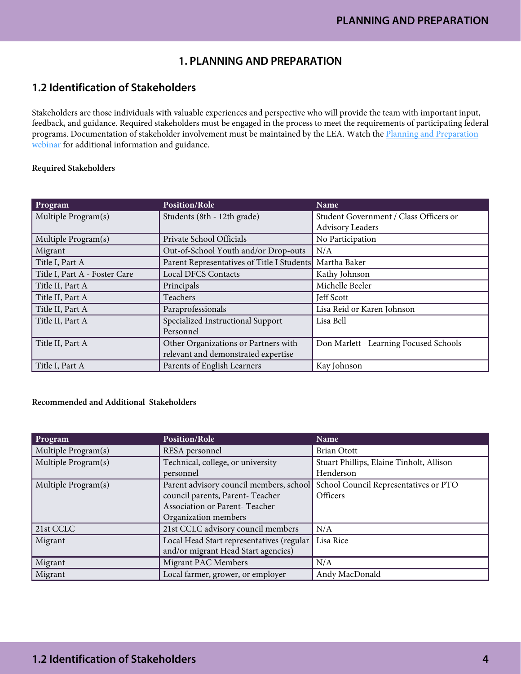# **1. PLANNING AND PREPARATION**

# **1.2 Identification of Stakeholders**

Stakeholders are those individuals with valuable experiences and perspective who will provide the team with important input, feedback, and guidance. Required stakeholders must be engaged in the process to meet the requirements of participating federal programs. Documentation of stakeholder involvement must be maintained by the LEA. Watch the [Planning and Preparation](https://www.gadoe.org/School-Improvement/School-Improvement-Services/Pages/Georgia%E2%80%99s-Systems-of-Continuous-Improvement.aspx)  [webinar](https://www.gadoe.org/School-Improvement/School-Improvement-Services/Pages/Georgia%E2%80%99s-Systems-of-Continuous-Improvement.aspx) for additional information and guidance.

#### Required Stakeholders

| Program                       | <b>Position/Role</b>                                    | Name                                   |
|-------------------------------|---------------------------------------------------------|----------------------------------------|
| Multiple Program(s)           | Students (8th - 12th grade)                             | Student Government / Class Officers or |
|                               |                                                         | <b>Advisory Leaders</b>                |
| Multiple Program(s)           | Private School Officials                                | No Participation                       |
| Migrant                       | Out-of-School Youth and/or Drop-outs                    | N/A                                    |
| Title I, Part A               | Parent Representatives of Title I Students Martha Baker |                                        |
| Title I, Part A - Foster Care | <b>Local DFCS Contacts</b>                              | Kathy Johnson                          |
| Title II, Part A              | Principals                                              | Michelle Beeler                        |
| Title II, Part A              | Teachers                                                | Jeff Scott                             |
| Title II, Part A              | Paraprofessionals                                       | Lisa Reid or Karen Johnson             |
| Title II, Part A              | Specialized Instructional Support                       | Lisa Bell                              |
|                               | Personnel                                               |                                        |
| Title II, Part A              | Other Organizations or Partners with                    | Don Marlett - Learning Focused Schools |
|                               | relevant and demonstrated expertise                     |                                        |
| Title I, Part A               | Parents of English Learners                             | Kay Johnson                            |

## Recommended and Additional Stakeholders

| Program             | <b>Position/Role</b>                      | Name                                     |
|---------------------|-------------------------------------------|------------------------------------------|
| Multiple Program(s) | RESA personnel                            | <b>Brian Otott</b>                       |
| Multiple Program(s) | Technical, college, or university         | Stuart Phillips, Elaine Tinholt, Allison |
|                     | personnel                                 | Henderson                                |
| Multiple Program(s) | Parent advisory council members, school   | School Council Representatives or PTO    |
|                     | council parents, Parent-Teacher           | Officers                                 |
|                     | Association or Parent-Teacher             |                                          |
|                     | Organization members                      |                                          |
| $21st$ CCLC         | 21st CCLC advisory council members        | N/A                                      |
| Migrant             | Local Head Start representatives (regular | Lisa Rice                                |
|                     | and/or migrant Head Start agencies)       |                                          |
| Migrant             | Migrant PAC Members                       | N/A                                      |
| Migrant             | Local farmer, grower, or employer         | Andy MacDonald                           |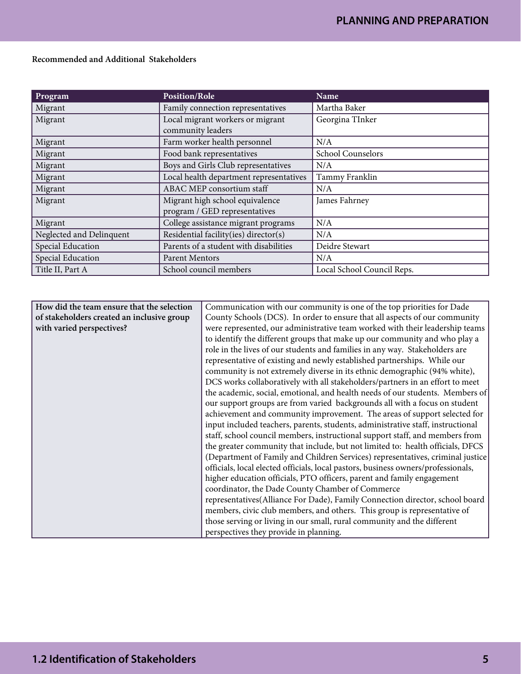| <b>Program</b>           | <b>Position/Role</b>                                             | Name                       |
|--------------------------|------------------------------------------------------------------|----------------------------|
| Migrant                  | Family connection representatives                                | Martha Baker               |
| Migrant                  | Local migrant workers or migrant<br>community leaders            | Georgina TInker            |
| Migrant                  | Farm worker health personnel                                     | N/A                        |
| Migrant                  | Food bank representatives                                        | School Counselors          |
| Migrant                  | Boys and Girls Club representatives                              | N/A                        |
| Migrant                  | Local health department representatives                          | Tammy Franklin             |
| Migrant                  | ABAC MEP consortium staff                                        | N/A                        |
| Migrant                  | Migrant high school equivalence<br>program / GED representatives | James Fahrney              |
| Migrant                  | College assistance migrant programs                              | N/A                        |
| Neglected and Delinquent | Residential facility(ies) director(s)                            | N/A                        |
| Special Education        | Parents of a student with disabilities                           | Deidre Stewart             |
| Special Education        | <b>Parent Mentors</b>                                            | N/A                        |
| Title II, Part A         | School council members                                           | Local School Council Reps. |

Recommended and Additional Stakeholders

| How did the team ensure that the selection | Communication with our community is one of the top priorities for Dade            |  |
|--------------------------------------------|-----------------------------------------------------------------------------------|--|
| of stakeholders created an inclusive group | County Schools (DCS). In order to ensure that all aspects of our community        |  |
| with varied perspectives?                  | were represented, our administrative team worked with their leadership teams      |  |
|                                            | to identify the different groups that make up our community and who play a        |  |
|                                            | role in the lives of our students and families in any way. Stakeholders are       |  |
|                                            | representative of existing and newly established partnerships. While our          |  |
|                                            | community is not extremely diverse in its ethnic demographic (94% white),         |  |
|                                            | DCS works collaboratively with all stakeholders/partners in an effort to meet     |  |
|                                            | the academic, social, emotional, and health needs of our students. Members of     |  |
|                                            | our support groups are from varied backgrounds all with a focus on student        |  |
|                                            | achievement and community improvement. The areas of support selected for          |  |
|                                            | input included teachers, parents, students, administrative staff, instructional   |  |
|                                            | staff, school council members, instructional support staff, and members from      |  |
|                                            | the greater community that include, but not limited to: health officials, DFCS    |  |
|                                            | (Department of Family and Children Services) representatives, criminal justice    |  |
|                                            | officials, local elected officials, local pastors, business owners/professionals, |  |
|                                            | higher education officials, PTO officers, parent and family engagement            |  |
|                                            | coordinator, the Dade County Chamber of Commerce                                  |  |
|                                            | representatives(Alliance For Dade), Family Connection director, school board      |  |
|                                            | members, civic club members, and others. This group is representative of          |  |
|                                            | those serving or living in our small, rural community and the different           |  |
|                                            | perspectives they provide in planning.                                            |  |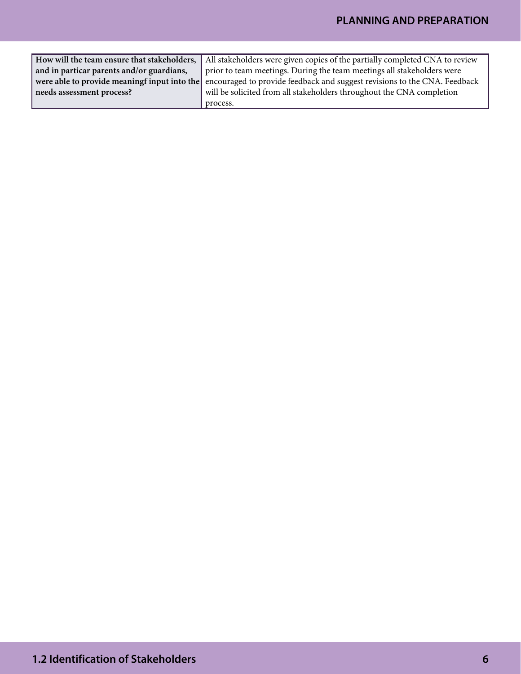|                                           | How will the team ensure that stakeholders,   All stakeholders were given copies of the partially completed CNA to review |
|-------------------------------------------|---------------------------------------------------------------------------------------------------------------------------|
| and in particar parents and/or guardians, | prior to team meetings. During the team meetings all stakeholders were                                                    |
|                                           | were able to provide meaningf input into the encouraged to provide feedback and suggest revisions to the CNA. Feedback    |
| needs assessment process?                 | will be solicited from all stakeholders throughout the CNA completion                                                     |
|                                           | process.                                                                                                                  |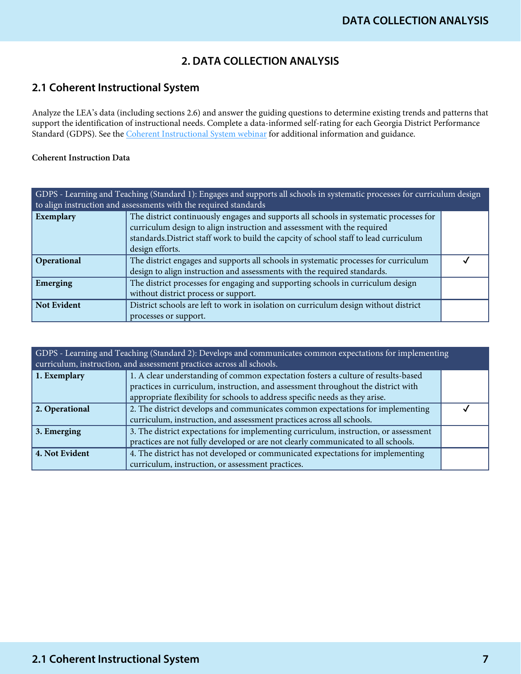# **2. DATA COLLECTION ANALYSIS**

# **2.1 Coherent Instructional System**

Analyze the LEA's data (including sections 2.6) and answer the guiding questions to determine existing trends and patterns that support the identification of instructional needs. Complete a data-informed self-rating for each Georgia District Performance Standard (GDPS). See the *Coherent Instructional System webinar* for additional information and guidance.

## Coherent Instruction Data

| GDPS - Learning and Teaching (Standard 1): Engages and supports all schools in systematic processes for curriculum design<br>to align instruction and assessments with the required standards |                                                                                                                                                                   |  |
|-----------------------------------------------------------------------------------------------------------------------------------------------------------------------------------------------|-------------------------------------------------------------------------------------------------------------------------------------------------------------------|--|
| Exemplary                                                                                                                                                                                     | The district continuously engages and supports all schools in systematic processes for<br>curriculum design to align instruction and assessment with the required |  |
|                                                                                                                                                                                               | standards. District staff work to build the capcity of school staff to lead curriculum                                                                            |  |
|                                                                                                                                                                                               | design efforts.                                                                                                                                                   |  |
| Operational                                                                                                                                                                                   | The district engages and supports all schools in systematic processes for curriculum                                                                              |  |
|                                                                                                                                                                                               | design to align instruction and assessments with the required standards.                                                                                          |  |
| Emerging                                                                                                                                                                                      | The district processes for engaging and supporting schools in curriculum design                                                                                   |  |
|                                                                                                                                                                                               | without district process or support.                                                                                                                              |  |
| <b>Not Evident</b>                                                                                                                                                                            | District schools are left to work in isolation on curriculum design without district                                                                              |  |
|                                                                                                                                                                                               | processes or support.                                                                                                                                             |  |

| GDPS - Learning and Teaching (Standard 2): Develops and communicates common expectations for implementing<br>curriculum, instruction, and assessment practices across all schools. |                                                                                      |  |
|------------------------------------------------------------------------------------------------------------------------------------------------------------------------------------|--------------------------------------------------------------------------------------|--|
| 1. Exemplary                                                                                                                                                                       | 1. A clear understanding of common expectation fosters a culture of results-based    |  |
|                                                                                                                                                                                    | practices in curriculum, instruction, and assessment throughout the district with    |  |
|                                                                                                                                                                                    | appropriate flexibility for schools to address specific needs as they arise.         |  |
| 2. Operational                                                                                                                                                                     | 2. The district develops and communicates common expectations for implementing       |  |
|                                                                                                                                                                                    | curriculum, instruction, and assessment practices across all schools.                |  |
| 3. Emerging                                                                                                                                                                        | 3. The district expectations for implementing curriculum, instruction, or assessment |  |
|                                                                                                                                                                                    | practices are not fully developed or are not clearly communicated to all schools.    |  |
| 4. Not Evident                                                                                                                                                                     | 4. The district has not developed or communicated expectations for implementing      |  |
|                                                                                                                                                                                    | curriculum, instruction, or assessment practices.                                    |  |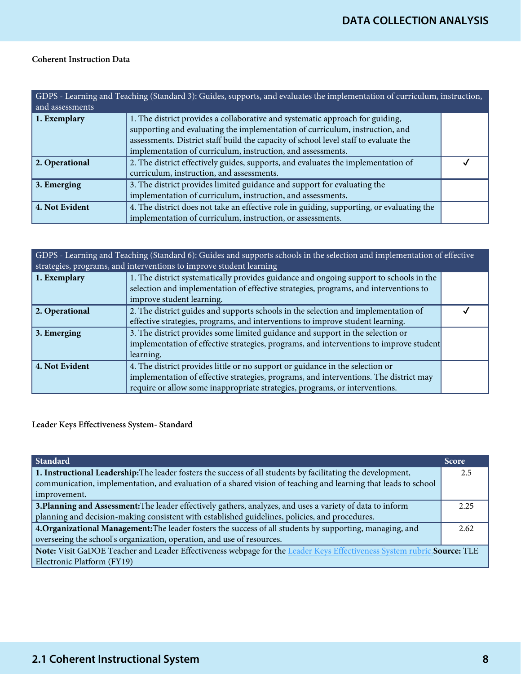## Coherent Instruction Data

| GDPS - Learning and Teaching (Standard 3): Guides, supports, and evaluates the implementation of curriculum, instruction,<br>and assessments |                                                                                                                                                                                                                                                                                                                      |  |
|----------------------------------------------------------------------------------------------------------------------------------------------|----------------------------------------------------------------------------------------------------------------------------------------------------------------------------------------------------------------------------------------------------------------------------------------------------------------------|--|
| 1. Exemplary                                                                                                                                 | 1. The district provides a collaborative and systematic approach for guiding,<br>supporting and evaluating the implementation of curriculum, instruction, and<br>assessments. District staff build the capacity of school level staff to evaluate the<br>implementation of curriculum, instruction, and assessments. |  |
| 2. Operational                                                                                                                               | 2. The district effectively guides, supports, and evaluates the implementation of<br>curriculum, instruction, and assessments.                                                                                                                                                                                       |  |
| 3. Emerging                                                                                                                                  | 3. The district provides limited guidance and support for evaluating the<br>implementation of curriculum, instruction, and assessments.                                                                                                                                                                              |  |
| 4. Not Evident                                                                                                                               | 4. The district does not take an effective role in guiding, supporting, or evaluating the<br>implementation of curriculum, instruction, or assessments.                                                                                                                                                              |  |

| GDPS - Learning and Teaching (Standard 6): Guides and supports schools in the selection and implementation of effective<br>strategies, programs, and interventions to improve student learning |                                                                                        |  |
|------------------------------------------------------------------------------------------------------------------------------------------------------------------------------------------------|----------------------------------------------------------------------------------------|--|
| 1. Exemplary                                                                                                                                                                                   | 1. The district systematically provides guidance and ongoing support to schools in the |  |
|                                                                                                                                                                                                | selection and implementation of effective strategies, programs, and interventions to   |  |
|                                                                                                                                                                                                | improve student learning.                                                              |  |
| 2. Operational                                                                                                                                                                                 | 2. The district guides and supports schools in the selection and implementation of     |  |
|                                                                                                                                                                                                | effective strategies, programs, and interventions to improve student learning.         |  |
| $\vert$ 3. Emerging                                                                                                                                                                            | 3. The district provides some limited guidance and support in the selection or         |  |
|                                                                                                                                                                                                | implementation of effective strategies, programs, and interventions to improve student |  |
|                                                                                                                                                                                                | learning.                                                                              |  |
| 4. Not Evident                                                                                                                                                                                 | 4. The district provides little or no support or guidance in the selection or          |  |
|                                                                                                                                                                                                | implementation of effective strategies, programs, and interventions. The district may  |  |
|                                                                                                                                                                                                | require or allow some inappropriate strategies, programs, or interventions.            |  |

Leader Keys Effectiveness System- Standard

| Standard                                                                                                                       | <b>Score</b> |
|--------------------------------------------------------------------------------------------------------------------------------|--------------|
| 1. Instructional Leadership: The leader fosters the success of all students by facilitating the development,                   | 2.5          |
| communication, implementation, and evaluation of a shared vision of teaching and learning that leads to school<br>improvement. |              |
| 3. Planning and Assessment: The leader effectively gathers, analyzes, and uses a variety of data to inform                     | 2.25         |
| planning and decision-making consistent with established guidelines, policies, and procedures.                                 |              |
| 4. Organizational Management: The leader fosters the success of all students by supporting, managing, and                      |              |
| overseeing the school's organization, operation, and use of resources.                                                         |              |
| Note: Visit GaDOE Teacher and Leader Effectiveness webpage for the Leader Keys Effectiveness System rubric. Source: TLE        |              |
| Electronic Platform (FY19)                                                                                                     |              |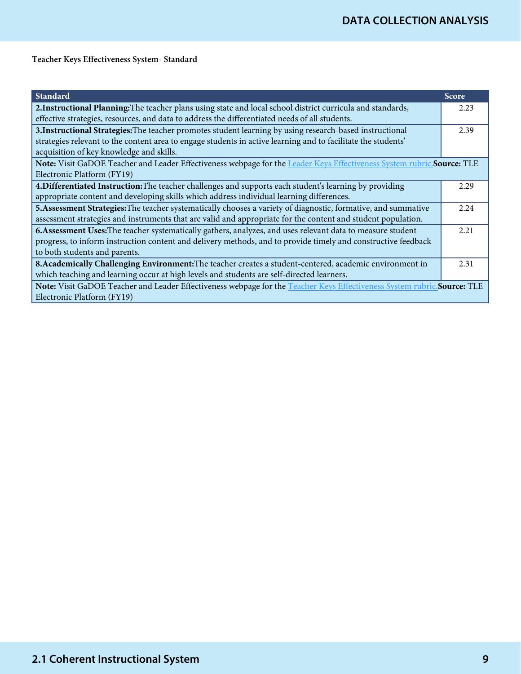Teacher Keys Effectiveness System- Standard

| <b>Standard</b>                                                                                                          | <b>Score</b> |
|--------------------------------------------------------------------------------------------------------------------------|--------------|
| 2. Instructional Planning: The teacher plans using state and local school district curricula and standards,              | 2.23         |
| effective strategies, resources, and data to address the differentiated needs of all students.                           |              |
| 3. Instructional Strategies: The teacher promotes student learning by using research-based instructional                 | 2.39         |
| strategies relevant to the content area to engage students in active learning and to facilitate the students'            |              |
| acquisition of key knowledge and skills.                                                                                 |              |
| Note: Visit GaDOE Teacher and Leader Effectiveness webpage for the Leader Keys Effectiveness System rubric.Source: TLE   |              |
| Electronic Platform (FY19)                                                                                               |              |
| 4. Differentiated Instruction: The teacher challenges and supports each student's learning by providing                  | 2.29         |
| appropriate content and developing skills which address individual learning differences.                                 |              |
| 5. Assessment Strategies: The teacher systematically chooses a variety of diagnostic, formative, and summative           | 2.24         |
| assessment strategies and instruments that are valid and appropriate for the content and student population.             |              |
| 6. Assessment Uses: The teacher systematically gathers, analyzes, and uses relevant data to measure student              | 2.21         |
| progress, to inform instruction content and delivery methods, and to provide timely and constructive feedback            |              |
| to both students and parents.                                                                                            |              |
| 8. Academically Challenging Environment: The teacher creates a student-centered, academic environment in                 | 2.31         |
| which teaching and learning occur at high levels and students are self-directed learners.                                |              |
| Note: Visit GaDOE Teacher and Leader Effectiveness webpage for the Teacher Keys Effectiveness System rubric. Source: TLE |              |
| Electronic Platform (FY19)                                                                                               |              |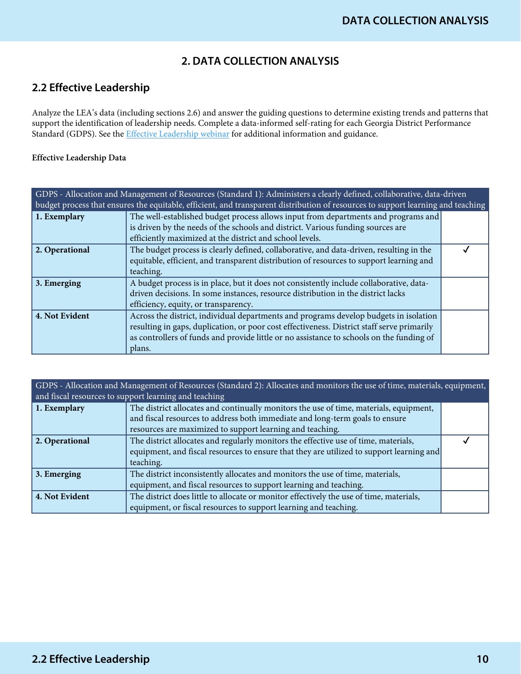# **2. DATA COLLECTION ANALYSIS**

# **2.2 Effective Leadership**

Analyze the LEA's data (including sections 2.6) and answer the guiding questions to determine existing trends and patterns that support the identification of leadership needs. Complete a data-informed self-rating for each Georgia District Performance Standard (GDPS). See the *Effective Leadership webinar* for additional information and guidance.

## Effective Leadership Data

| GDPS - Allocation and Management of Resources (Standard 1): Administers a clearly defined, collaborative, data-driven<br>budget process that ensures the equitable, efficient, and transparent distribution of resources to support learning and teaching |                                                                                                                                                                                                                                                                                           |  |
|-----------------------------------------------------------------------------------------------------------------------------------------------------------------------------------------------------------------------------------------------------------|-------------------------------------------------------------------------------------------------------------------------------------------------------------------------------------------------------------------------------------------------------------------------------------------|--|
| 1. Exemplary                                                                                                                                                                                                                                              | The well-established budget process allows input from departments and programs and<br>is driven by the needs of the schools and district. Various funding sources are                                                                                                                     |  |
|                                                                                                                                                                                                                                                           | efficiently maximized at the district and school levels.                                                                                                                                                                                                                                  |  |
| 2. Operational                                                                                                                                                                                                                                            | The budget process is clearly defined, collaborative, and data-driven, resulting in the<br>equitable, efficient, and transparent distribution of resources to support learning and<br>teaching.                                                                                           |  |
| $\vert$ 3. Emerging                                                                                                                                                                                                                                       | A budget process is in place, but it does not consistently include collaborative, data-<br>driven decisions. In some instances, resource distribution in the district lacks<br>efficiency, equity, or transparency.                                                                       |  |
| 4. Not Evident                                                                                                                                                                                                                                            | Across the district, individual departments and programs develop budgets in isolation<br>resulting in gaps, duplication, or poor cost effectiveness. District staff serve primarily<br>as controllers of funds and provide little or no assistance to schools on the funding of<br>plans. |  |

GDPS - Allocation and Management of Resources (Standard 2): Allocates and monitors the use of time, materials, equipment, and fiscal resources to support learning and teaching

| 1. Exemplary   | The district allocates and continually monitors the use of time, materials, equipment,   |  |
|----------------|------------------------------------------------------------------------------------------|--|
|                | and fiscal resources to address both immediate and long-term goals to ensure             |  |
|                | resources are maximized to support learning and teaching.                                |  |
| 2. Operational | The district allocates and regularly monitors the effective use of time, materials,      |  |
|                | equipment, and fiscal resources to ensure that they are utilized to support learning and |  |
|                | teaching.                                                                                |  |
| 3. Emerging    | The district inconsistently allocates and monitors the use of time, materials,           |  |
|                | equipment, and fiscal resources to support learning and teaching.                        |  |
| 4. Not Evident | The district does little to allocate or monitor effectively the use of time, materials,  |  |
|                | equipment, or fiscal resources to support learning and teaching.                         |  |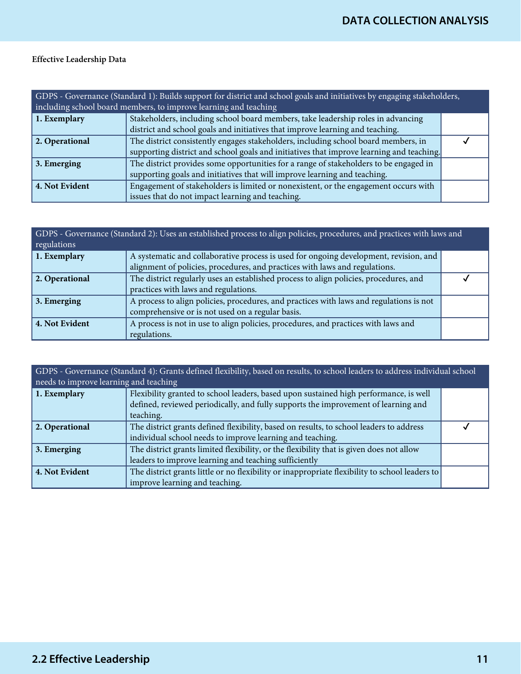# Effective Leadership Data

| GDPS - Governance (Standard 1): Builds support for district and school goals and initiatives by engaging stakeholders,<br>including school board members, to improve learning and teaching |                                                                                                                                                                                |  |
|--------------------------------------------------------------------------------------------------------------------------------------------------------------------------------------------|--------------------------------------------------------------------------------------------------------------------------------------------------------------------------------|--|
| 1. Exemplary                                                                                                                                                                               | Stakeholders, including school board members, take leadership roles in advancing<br>district and school goals and initiatives that improve learning and teaching.              |  |
| 2. Operational                                                                                                                                                                             | The district consistently engages stakeholders, including school board members, in<br>supporting district and school goals and initiatives that improve learning and teaching. |  |
| $\vert$ 3. Emerging                                                                                                                                                                        | The district provides some opportunities for a range of stakeholders to be engaged in<br>supporting goals and initiatives that will improve learning and teaching.             |  |
| 4. Not Evident                                                                                                                                                                             | Engagement of stakeholders is limited or nonexistent, or the engagement occurs with<br>issues that do not impact learning and teaching.                                        |  |

| GDPS - Governance (Standard 2): Uses an established process to align policies, procedures, and practices with laws and<br>regulations |                                                                                         |  |
|---------------------------------------------------------------------------------------------------------------------------------------|-----------------------------------------------------------------------------------------|--|
| 1. Exemplary                                                                                                                          | A systematic and collaborative process is used for ongoing development, revision, and   |  |
|                                                                                                                                       | alignment of policies, procedures, and practices with laws and regulations.             |  |
| 2. Operational                                                                                                                        | The district regularly uses an established process to align policies, procedures, and   |  |
|                                                                                                                                       | practices with laws and regulations.                                                    |  |
| 3. Emerging                                                                                                                           | A process to align policies, procedures, and practices with laws and regulations is not |  |
|                                                                                                                                       | comprehensive or is not used on a regular basis.                                        |  |
| 4. Not Evident                                                                                                                        | A process is not in use to align policies, procedures, and practices with laws and      |  |
|                                                                                                                                       | regulations.                                                                            |  |

| GDPS - Governance (Standard 4): Grants defined flexibility, based on results, to school leaders to address individual school<br>needs to improve learning and teaching |                                                                                                 |  |
|------------------------------------------------------------------------------------------------------------------------------------------------------------------------|-------------------------------------------------------------------------------------------------|--|
| 1. Exemplary                                                                                                                                                           | Flexibility granted to school leaders, based upon sustained high performance, is well           |  |
|                                                                                                                                                                        | defined, reviewed periodically, and fully supports the improvement of learning and<br>teaching. |  |
|                                                                                                                                                                        |                                                                                                 |  |
| 2. Operational                                                                                                                                                         | The district grants defined flexibility, based on results, to school leaders to address         |  |
|                                                                                                                                                                        | individual school needs to improve learning and teaching.                                       |  |
| 3. Emerging                                                                                                                                                            | The district grants limited flexibility, or the flexibility that is given does not allow        |  |
|                                                                                                                                                                        | leaders to improve learning and teaching sufficiently                                           |  |
| 4. Not Evident                                                                                                                                                         | The district grants little or no flexibility or inappropriate flexibility to school leaders to  |  |
|                                                                                                                                                                        | improve learning and teaching.                                                                  |  |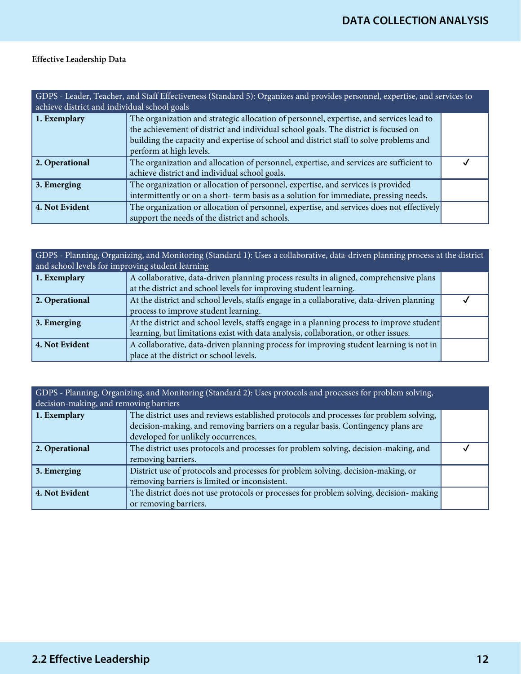# Effective Leadership Data

| GDPS - Leader, Teacher, and Staff Effectiveness (Standard 5): Organizes and provides personnel, expertise, and services to<br>achieve district and individual school goals |                                                                                                                                                                                                                                                                                                     |  |
|----------------------------------------------------------------------------------------------------------------------------------------------------------------------------|-----------------------------------------------------------------------------------------------------------------------------------------------------------------------------------------------------------------------------------------------------------------------------------------------------|--|
| 1. Exemplary                                                                                                                                                               | The organization and strategic allocation of personnel, expertise, and services lead to<br>the achievement of district and individual school goals. The district is focused on<br>building the capacity and expertise of school and district staff to solve problems and<br>perform at high levels. |  |
| 2. Operational                                                                                                                                                             | The organization and allocation of personnel, expertise, and services are sufficient to<br>achieve district and individual school goals.                                                                                                                                                            |  |
| 3. Emerging                                                                                                                                                                | The organization or allocation of personnel, expertise, and services is provided<br>intermittently or on a short-term basis as a solution for immediate, pressing needs.                                                                                                                            |  |
| 4. Not Evident                                                                                                                                                             | The organization or allocation of personnel, expertise, and services does not effectively<br>support the needs of the district and schools.                                                                                                                                                         |  |

| GDPS - Planning, Organizing, and Monitoring (Standard 1): Uses a collaborative, data-driven planning process at the district<br>and school levels for improving student learning |                                                                                           |  |
|----------------------------------------------------------------------------------------------------------------------------------------------------------------------------------|-------------------------------------------------------------------------------------------|--|
| 1. Exemplary                                                                                                                                                                     | A collaborative, data-driven planning process results in aligned, comprehensive plans     |  |
|                                                                                                                                                                                  | at the district and school levels for improving student learning.                         |  |
| 2. Operational                                                                                                                                                                   | At the district and school levels, staffs engage in a collaborative, data-driven planning |  |
|                                                                                                                                                                                  | process to improve student learning.                                                      |  |
| $\vert$ 3. Emerging                                                                                                                                                              | At the district and school levels, staffs engage in a planning process to improve student |  |
|                                                                                                                                                                                  | learning, but limitations exist with data analysis, collaboration, or other issues.       |  |
| 4. Not Evident                                                                                                                                                                   | A collaborative, data-driven planning process for improving student learning is not in    |  |
|                                                                                                                                                                                  | place at the district or school levels.                                                   |  |

| GDPS - Planning, Organizing, and Monitoring (Standard 2): Uses protocols and processes for problem solving, |                                                                                        |  |
|-------------------------------------------------------------------------------------------------------------|----------------------------------------------------------------------------------------|--|
| decision-making, and removing barriers                                                                      |                                                                                        |  |
| 1. Exemplary                                                                                                | The district uses and reviews established protocols and processes for problem solving, |  |
|                                                                                                             | decision-making, and removing barriers on a regular basis. Contingency plans are       |  |
|                                                                                                             | developed for unlikely occurrences.                                                    |  |
| 2. Operational                                                                                              | The district uses protocols and processes for problem solving, decision-making, and    |  |
|                                                                                                             | removing barriers.                                                                     |  |
| 3. Emerging                                                                                                 | District use of protocols and processes for problem solving, decision-making, or       |  |
|                                                                                                             | removing barriers is limited or inconsistent.                                          |  |
| 4. Not Evident                                                                                              | The district does not use protocols or processes for problem solving, decision-making  |  |
|                                                                                                             | or removing barriers.                                                                  |  |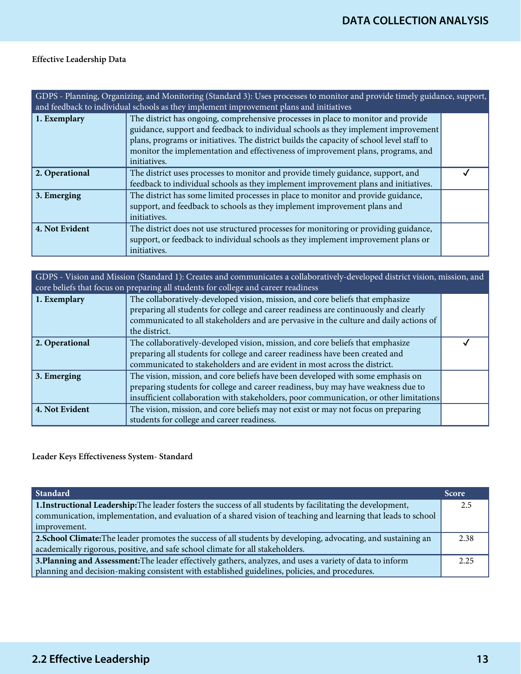# Effective Leadership Data

| GDPS - Planning, Organizing, and Monitoring (Standard 3): Uses processes to monitor and provide timely guidance, support,<br>and feedback to individual schools as they implement improvement plans and initiatives |                                                                                                                                                                                                                                                                                                                                                                          |  |
|---------------------------------------------------------------------------------------------------------------------------------------------------------------------------------------------------------------------|--------------------------------------------------------------------------------------------------------------------------------------------------------------------------------------------------------------------------------------------------------------------------------------------------------------------------------------------------------------------------|--|
| 1. Exemplary                                                                                                                                                                                                        | The district has ongoing, comprehensive processes in place to monitor and provide<br>guidance, support and feedback to individual schools as they implement improvement<br>plans, programs or initiatives. The district builds the capacity of school level staff to<br>monitor the implementation and effectiveness of improvement plans, programs, and<br>initiatives. |  |
| 2. Operational                                                                                                                                                                                                      | The district uses processes to monitor and provide timely guidance, support, and<br>feedback to individual schools as they implement improvement plans and initiatives.                                                                                                                                                                                                  |  |
| 3. Emerging                                                                                                                                                                                                         | The district has some limited processes in place to monitor and provide guidance,<br>support, and feedback to schools as they implement improvement plans and<br>initiatives.                                                                                                                                                                                            |  |
| 4. Not Evident                                                                                                                                                                                                      | The district does not use structured processes for monitoring or providing guidance,<br>support, or feedback to individual schools as they implement improvement plans or<br>initiatives.                                                                                                                                                                                |  |

| GDPS - Vision and Mission (Standard 1): Creates and communicates a collaboratively-developed district vision, mission, and<br>core beliefs that focus on preparing all students for college and career readiness |                                                                                                                                                                                                                                                                                   |  |
|------------------------------------------------------------------------------------------------------------------------------------------------------------------------------------------------------------------|-----------------------------------------------------------------------------------------------------------------------------------------------------------------------------------------------------------------------------------------------------------------------------------|--|
| 1. Exemplary                                                                                                                                                                                                     | The collaboratively-developed vision, mission, and core beliefs that emphasize<br>preparing all students for college and career readiness are continuously and clearly<br>communicated to all stakeholders and are pervasive in the culture and daily actions of<br>the district. |  |
| 2. Operational                                                                                                                                                                                                   | The collaboratively-developed vision, mission, and core beliefs that emphasize<br>preparing all students for college and career readiness have been created and<br>communicated to stakeholders and are evident in most across the district.                                      |  |
| 3. Emerging                                                                                                                                                                                                      | The vision, mission, and core beliefs have been developed with some emphasis on<br>preparing students for college and career readiness, buy may have weakness due to<br>insufficient collaboration with stakeholders, poor communication, or other limitations                    |  |
| 4. Not Evident                                                                                                                                                                                                   | The vision, mission, and core beliefs may not exist or may not focus on preparing<br>students for college and career readiness.                                                                                                                                                   |  |

Leader Keys Effectiveness System- Standard

| Standard                                                                                                        | <b>Score</b> |
|-----------------------------------------------------------------------------------------------------------------|--------------|
| 1. Instructional Leadership: The leader fosters the success of all students by facilitating the development,    |              |
| communication, implementation, and evaluation of a shared vision of teaching and learning that leads to school  |              |
| improvement.                                                                                                    |              |
| 2. School Climate: The leader promotes the success of all students by developing, advocating, and sustaining an |              |
| academically rigorous, positive, and safe school climate for all stakeholders.                                  |              |
| 3. Planning and Assessment: The leader effectively gathers, analyzes, and uses a variety of data to inform      |              |
| planning and decision-making consistent with established guidelines, policies, and procedures.                  |              |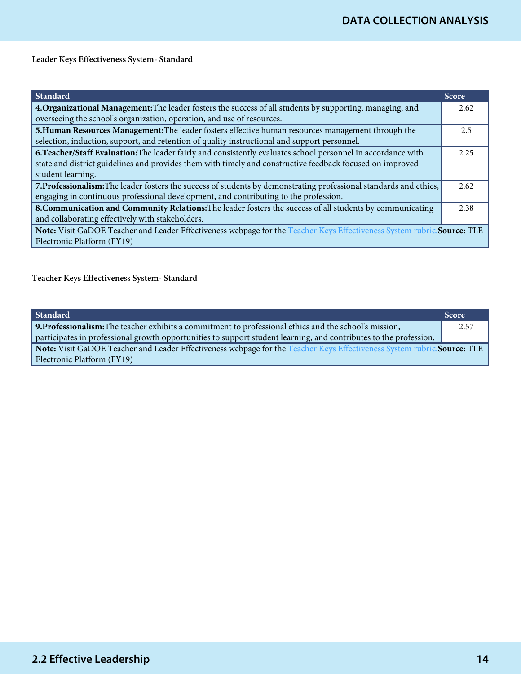Leader Keys Effectiveness System- Standard

| <b>Standard</b>                                                                                                          | <b>Score</b> |
|--------------------------------------------------------------------------------------------------------------------------|--------------|
| 4. Organizational Management: The leader fosters the success of all students by supporting, managing, and                | 2.62         |
| overseeing the school's organization, operation, and use of resources.                                                   |              |
| 5. Human Resources Management: The leader fosters effective human resources management through the                       | 2.5          |
| selection, induction, support, and retention of quality instructional and support personnel.                             |              |
| 6. Teacher/Staff Evaluation: The leader fairly and consistently evaluates school personnel in accordance with            |              |
| state and district guidelines and provides them with timely and constructive feedback focused on improved                |              |
| student learning.                                                                                                        |              |
| 7. Professionalism: The leader fosters the success of students by demonstrating professional standards and ethics,       |              |
| engaging in continuous professional development, and contributing to the profession.                                     |              |
| 8. Communication and Community Relations: The leader fosters the success of all students by communicating                |              |
| and collaborating effectively with stakeholders.                                                                         |              |
| Note: Visit GaDOE Teacher and Leader Effectiveness webpage for the Teacher Keys Effectiveness System rubric. Source: TLE |              |
| Electronic Platform (FY19)                                                                                               |              |

Teacher Keys Effectiveness System- Standard

| Standard                                                                                                                | <b>Score</b> |
|-------------------------------------------------------------------------------------------------------------------------|--------------|
| 9. Professionalism: The teacher exhibits a commitment to professional ethics and the school's mission,                  | 2.57         |
| participates in professional growth opportunities to support student learning, and contributes to the profession.       |              |
| Note: Visit GaDOE Teacher and Leader Effectiveness webpage for the Teacher Keys Effectiveness System rubric.Source: TLE |              |
| Electronic Platform (FY19)                                                                                              |              |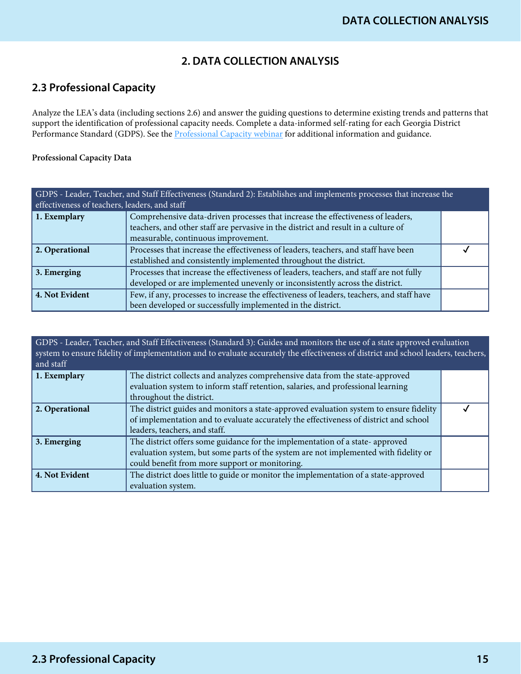# **2. DATA COLLECTION ANALYSIS**

# **2.3 Professional Capacity**

Analyze the LEA's data (including sections 2.6) and answer the guiding questions to determine existing trends and patterns that support the identification of professional capacity needs. Complete a data-informed self-rating for each Georgia District Performance Standard (GDPS). See the **[Professional Capacity webinar](https://www.gadoe.org/School-Improvement/School-Improvement-Services/Pages/Georgia%E2%80%99s-Systems-of-Continuous-Improvement.aspx)** for additional information and guidance.

## Professional Capacity Data

| GDPS - Leader, Teacher, and Staff Effectiveness (Standard 2): Establishes and implements processes that increase the<br>effectiveness of teachers, leaders, and staff |                                                                                           |  |
|-----------------------------------------------------------------------------------------------------------------------------------------------------------------------|-------------------------------------------------------------------------------------------|--|
|                                                                                                                                                                       |                                                                                           |  |
| 1. Exemplary                                                                                                                                                          | Comprehensive data-driven processes that increase the effectiveness of leaders,           |  |
|                                                                                                                                                                       | teachers, and other staff are pervasive in the district and result in a culture of        |  |
|                                                                                                                                                                       | measurable, continuous improvement.                                                       |  |
| 2. Operational                                                                                                                                                        | Processes that increase the effectiveness of leaders, teachers, and staff have been       |  |
|                                                                                                                                                                       | established and consistently implemented throughout the district.                         |  |
| $\vert$ 3. Emerging                                                                                                                                                   | Processes that increase the effectiveness of leaders, teachers, and staff are not fully   |  |
|                                                                                                                                                                       | developed or are implemented unevenly or inconsistently across the district.              |  |
| 4. Not Evident                                                                                                                                                        | Few, if any, processes to increase the effectiveness of leaders, teachers, and staff have |  |
|                                                                                                                                                                       | been developed or successfully implemented in the district.                               |  |

| GDPS - Leader, Teacher, and Staff Effectiveness (Standard 3): Guides and monitors the use of a state approved evaluation<br>system to ensure fidelity of implementation and to evaluate accurately the effectiveness of district and school leaders, teachers,<br>and staff |                                                                                        |  |
|-----------------------------------------------------------------------------------------------------------------------------------------------------------------------------------------------------------------------------------------------------------------------------|----------------------------------------------------------------------------------------|--|
| 1. Exemplary                                                                                                                                                                                                                                                                | The district collects and analyzes comprehensive data from the state-approved          |  |
|                                                                                                                                                                                                                                                                             | evaluation system to inform staff retention, salaries, and professional learning       |  |
|                                                                                                                                                                                                                                                                             | throughout the district.                                                               |  |
| 2. Operational                                                                                                                                                                                                                                                              | The district guides and monitors a state-approved evaluation system to ensure fidelity |  |
|                                                                                                                                                                                                                                                                             | of implementation and to evaluate accurately the effectiveness of district and school  |  |
|                                                                                                                                                                                                                                                                             | leaders, teachers, and staff.                                                          |  |
| $\vert$ 3. Emerging                                                                                                                                                                                                                                                         | The district offers some guidance for the implementation of a state- approved          |  |
|                                                                                                                                                                                                                                                                             | evaluation system, but some parts of the system are not implemented with fidelity or   |  |
|                                                                                                                                                                                                                                                                             | could benefit from more support or monitoring.                                         |  |
| 4. Not Evident                                                                                                                                                                                                                                                              | The district does little to guide or monitor the implementation of a state-approved    |  |
|                                                                                                                                                                                                                                                                             | evaluation system.                                                                     |  |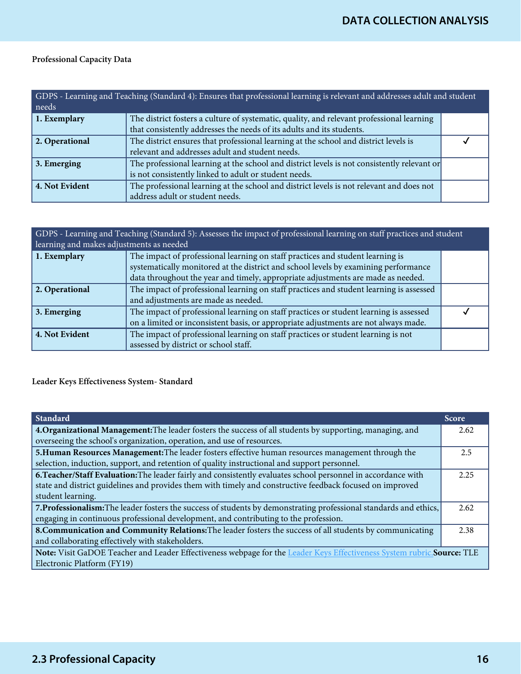# Professional Capacity Data

| GDPS - Learning and Teaching (Standard 4): Ensures that professional learning is relevant and addresses adult and student<br>needs |                                                                                                                                                                    |  |
|------------------------------------------------------------------------------------------------------------------------------------|--------------------------------------------------------------------------------------------------------------------------------------------------------------------|--|
| 1. Exemplary                                                                                                                       | The district fosters a culture of systematic, quality, and relevant professional learning<br>that consistently addresses the needs of its adults and its students. |  |
| 2. Operational                                                                                                                     | The district ensures that professional learning at the school and district levels is<br>relevant and addresses adult and student needs.                            |  |
| $\vert$ 3. Emerging                                                                                                                | The professional learning at the school and district levels is not consistently relevant or<br>is not consistently linked to adult or student needs.               |  |
| 4. Not Evident                                                                                                                     | The professional learning at the school and district levels is not relevant and does not<br>address adult or student needs.                                        |  |

| GDPS - Learning and Teaching (Standard 5): Assesses the impact of professional learning on staff practices and student<br>learning and makes adjustments as needed |                                                                                                                                                                       |  |
|--------------------------------------------------------------------------------------------------------------------------------------------------------------------|-----------------------------------------------------------------------------------------------------------------------------------------------------------------------|--|
| 1. Exemplary                                                                                                                                                       | The impact of professional learning on staff practices and student learning is<br>systematically monitored at the district and school levels by examining performance |  |
|                                                                                                                                                                    | data throughout the year and timely, appropriate adjustments are made as needed.                                                                                      |  |
| 2. Operational                                                                                                                                                     | The impact of professional learning on staff practices and student learning is assessed                                                                               |  |
|                                                                                                                                                                    | and adjustments are made as needed.                                                                                                                                   |  |
| $\vert$ 3. Emerging                                                                                                                                                | The impact of professional learning on staff practices or student learning is assessed                                                                                |  |
|                                                                                                                                                                    | on a limited or inconsistent basis, or appropriate adjustments are not always made.                                                                                   |  |
| 4. Not Evident                                                                                                                                                     | The impact of professional learning on staff practices or student learning is not                                                                                     |  |
|                                                                                                                                                                    | assessed by district or school staff.                                                                                                                                 |  |

# Leader Keys Effectiveness System- Standard

| <b>Standard</b>                                                                                                         | <b>Score</b> |
|-------------------------------------------------------------------------------------------------------------------------|--------------|
| 4. Organizational Management: The leader fosters the success of all students by supporting, managing, and               | 2.62         |
| overseeing the school's organization, operation, and use of resources.                                                  |              |
| 5. Human Resources Management: The leader fosters effective human resources management through the                      | 2.5          |
| selection, induction, support, and retention of quality instructional and support personnel.                            |              |
| 6. Teacher/Staff Evaluation: The leader fairly and consistently evaluates school personnel in accordance with           |              |
| state and district guidelines and provides them with timely and constructive feedback focused on improved               |              |
| student learning.                                                                                                       |              |
| 7. Professionalism: The leader fosters the success of students by demonstrating professional standards and ethics,      |              |
| engaging in continuous professional development, and contributing to the profession.                                    |              |
| 8. Communication and Community Relations: The leader fosters the success of all students by communicating               |              |
| and collaborating effectively with stakeholders.                                                                        |              |
| Note: Visit GaDOE Teacher and Leader Effectiveness webpage for the Leader Keys Effectiveness System rubric. Source: TLE |              |
| Electronic Platform (FY19)                                                                                              |              |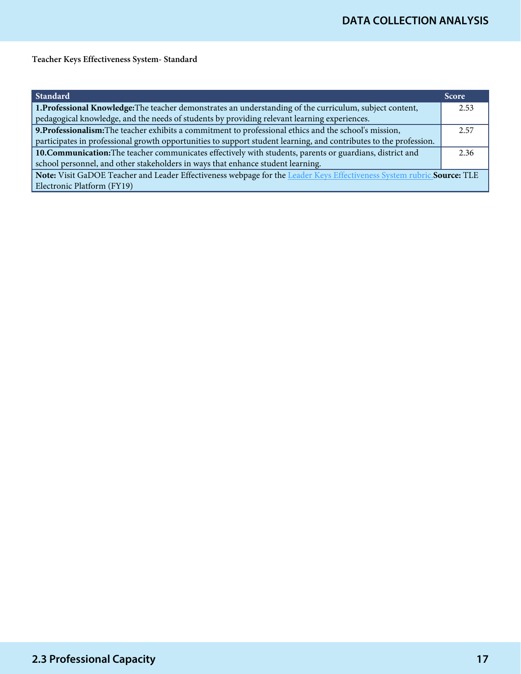Teacher Keys Effectiveness System- Standard

| Standard                                                                                                                | <b>Score</b> |
|-------------------------------------------------------------------------------------------------------------------------|--------------|
| 1. Professional Knowledge: The teacher demonstrates an understanding of the curriculum, subject content,                | 2.53         |
| pedagogical knowledge, and the needs of students by providing relevant learning experiences.                            |              |
| 9. Professionalism: The teacher exhibits a commitment to professional ethics and the school's mission,                  |              |
| participates in professional growth opportunities to support student learning, and contributes to the profession.       |              |
| 10. Communication: The teacher communicates effectively with students, parents or guardians, district and               |              |
| school personnel, and other stakeholders in ways that enhance student learning.                                         |              |
| Note: Visit GaDOE Teacher and Leader Effectiveness webpage for the Leader Keys Effectiveness System rubric. Source: TLE |              |
| Electronic Platform (FY19)                                                                                              |              |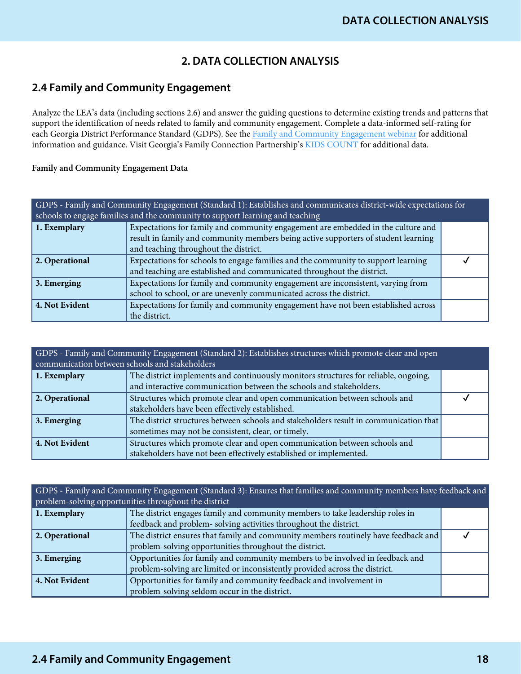# **2. DATA COLLECTION ANALYSIS**

# **2.4 Family and Community Engagement**

Analyze the LEA's data (including sections 2.6) and answer the guiding questions to determine existing trends and patterns that support the identification of needs related to family and community engagement. Complete a data-informed self-rating for each Georgia District Performance Standard (GDPS). See the [Family and Community Engagement webinar](https://www.gadoe.org/School-Improvement/School-Improvement-Services/Pages/Georgia%E2%80%99s-Systems-of-Continuous-Improvement.aspx) for additional information and guidance. Visit Georgia's Family Connection Partnership's [KIDS COUNT](http://gafcp.org/kids-count/) for additional data.

## Family and Community Engagement Data

| GDPS - Family and Community Engagement (Standard 1): Establishes and communicates district-wide expectations for<br>schools to engage families and the community to support learning and teaching |                                                                                    |  |
|---------------------------------------------------------------------------------------------------------------------------------------------------------------------------------------------------|------------------------------------------------------------------------------------|--|
| 1. Exemplary                                                                                                                                                                                      | Expectations for family and community engagement are embedded in the culture and   |  |
|                                                                                                                                                                                                   | result in family and community members being active supporters of student learning |  |
|                                                                                                                                                                                                   | and teaching throughout the district.                                              |  |
| 2. Operational                                                                                                                                                                                    | Expectations for schools to engage families and the community to support learning  |  |
|                                                                                                                                                                                                   | and teaching are established and communicated throughout the district.             |  |
| 3. Emerging                                                                                                                                                                                       | Expectations for family and community engagement are inconsistent, varying from    |  |
|                                                                                                                                                                                                   | school to school, or are unevenly communicated across the district.                |  |
| 4. Not Evident                                                                                                                                                                                    | Expectations for family and community engagement have not been established across  |  |
|                                                                                                                                                                                                   | the district.                                                                      |  |

| GDPS - Family and Community Engagement (Standard 2): Establishes structures which promote clear and open<br>communication between schools and stakeholders |                                                                                                                                                            |  |
|------------------------------------------------------------------------------------------------------------------------------------------------------------|------------------------------------------------------------------------------------------------------------------------------------------------------------|--|
| 1. Exemplary                                                                                                                                               | The district implements and continuously monitors structures for reliable, ongoing,<br>and interactive communication between the schools and stakeholders. |  |
| 2. Operational                                                                                                                                             | Structures which promote clear and open communication between schools and<br>stakeholders have been effectively established.                               |  |
| 3. Emerging                                                                                                                                                | The district structures between schools and stakeholders result in communication that<br>sometimes may not be consistent, clear, or timely.                |  |
| 4. Not Evident                                                                                                                                             | Structures which promote clear and open communication between schools and<br>stakeholders have not been effectively established or implemented.            |  |

GDPS - Family and Community Engagement (Standard 3): Ensures that families and community members have feedback and problem-solving opportunities throughout the district **1. Exemplary** The district engages family and community members to take leadership roles in feedback and problem- solving activities throughout the district. **2. Operational** The district ensures that family and community members routinely have feedback and problem-solving opportunities throughout the district.  $\checkmark$ **3. Emerging** Opportunities for family and community members to be involved in feedback and problem-solving are limited or inconsistently provided across the district. **4. Not Evident** Opportunities for family and community feedback and involvement in problem-solving seldom occur in the district.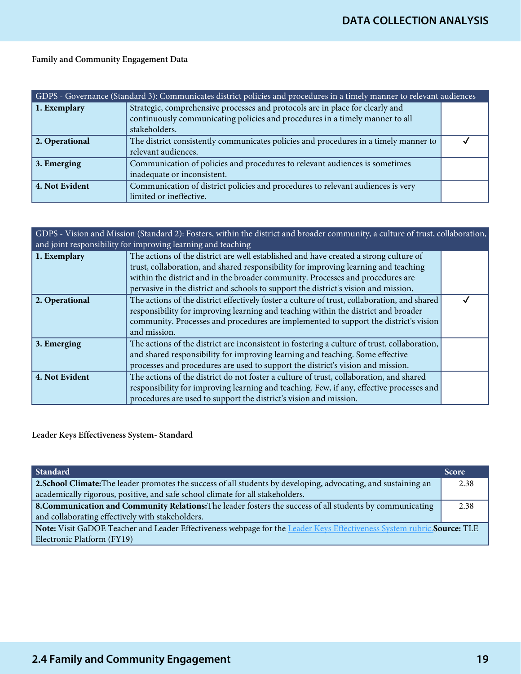# Family and Community Engagement Data

| GDPS - Governance (Standard 3): Communicates district policies and procedures in a timely manner to relevant audiences |                                                                                                                                                                                |  |
|------------------------------------------------------------------------------------------------------------------------|--------------------------------------------------------------------------------------------------------------------------------------------------------------------------------|--|
| 1. Exemplary                                                                                                           | Strategic, comprehensive processes and protocols are in place for clearly and<br>continuously communicating policies and procedures in a timely manner to all<br>stakeholders. |  |
| 2. Operational                                                                                                         | The district consistently communicates policies and procedures in a timely manner to<br>relevant audiences.                                                                    |  |
| 3. Emerging                                                                                                            | Communication of policies and procedures to relevant audiences is sometimes<br>inadequate or inconsistent.                                                                     |  |
| 4. Not Evident                                                                                                         | Communication of district policies and procedures to relevant audiences is very<br>limited or ineffective.                                                                     |  |

| GDPS - Vision and Mission (Standard 2): Fosters, within the district and broader community, a culture of trust, collaboration,<br>and joint responsibility for improving learning and teaching |                                                                                                                                                                                                                                                                                            |  |
|------------------------------------------------------------------------------------------------------------------------------------------------------------------------------------------------|--------------------------------------------------------------------------------------------------------------------------------------------------------------------------------------------------------------------------------------------------------------------------------------------|--|
| 1. Exemplary                                                                                                                                                                                   | The actions of the district are well established and have created a strong culture of<br>trust, collaboration, and shared responsibility for improving learning and teaching<br>within the district and in the broader community. Processes and procedures are                             |  |
|                                                                                                                                                                                                | pervasive in the district and schools to support the district's vision and mission.                                                                                                                                                                                                        |  |
| 2. Operational                                                                                                                                                                                 | The actions of the district effectively foster a culture of trust, collaboration, and shared<br>responsibility for improving learning and teaching within the district and broader<br>community. Processes and procedures are implemented to support the district's vision<br>and mission. |  |
| 3. Emerging                                                                                                                                                                                    | The actions of the district are inconsistent in fostering a culture of trust, collaboration,<br>and shared responsibility for improving learning and teaching. Some effective<br>processes and procedures are used to support the district's vision and mission.                           |  |
| 4. Not Evident                                                                                                                                                                                 | The actions of the district do not foster a culture of trust, collaboration, and shared<br>responsibility for improving learning and teaching. Few, if any, effective processes and<br>procedures are used to support the district's vision and mission.                                   |  |

## Leader Keys Effectiveness System- Standard

| Standard                                                                                                                | <b>Score</b> |  |
|-------------------------------------------------------------------------------------------------------------------------|--------------|--|
| 2. School Climate: The leader promotes the success of all students by developing, advocating, and sustaining an         |              |  |
| academically rigorous, positive, and safe school climate for all stakeholders.                                          |              |  |
| 8. Communication and Community Relations: The leader fosters the success of all students by communicating               |              |  |
| and collaborating effectively with stakeholders.                                                                        |              |  |
| Note: Visit GaDOE Teacher and Leader Effectiveness webpage for the Leader Keys Effectiveness System rubric. Source: TLE |              |  |
| Electronic Platform (FY19)                                                                                              |              |  |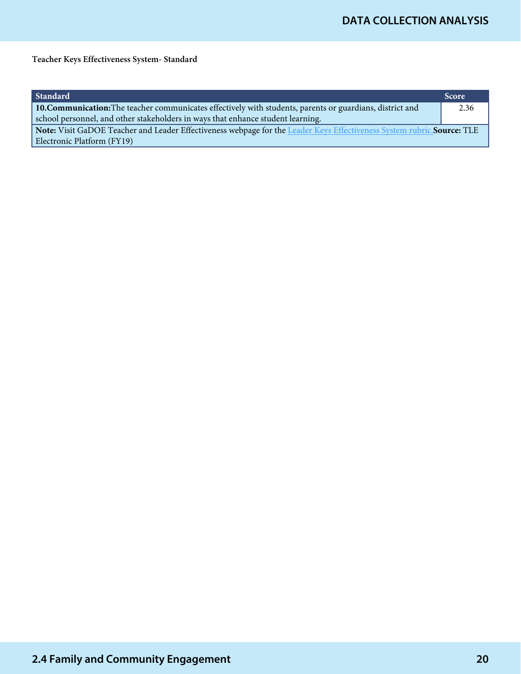Teacher Keys Effectiveness System- Standard

| Standard                                                                                                                | <b>Score</b> |  |
|-------------------------------------------------------------------------------------------------------------------------|--------------|--|
| 10. Communication: The teacher communicates effectively with students, parents or guardians, district and               |              |  |
| school personnel, and other stakeholders in ways that enhance student learning.                                         |              |  |
| Note: Visit GaDOE Teacher and Leader Effectiveness webpage for the Leader Keys Effectiveness System rubric. Source: TLE |              |  |
| Electronic Platform (FY19)                                                                                              |              |  |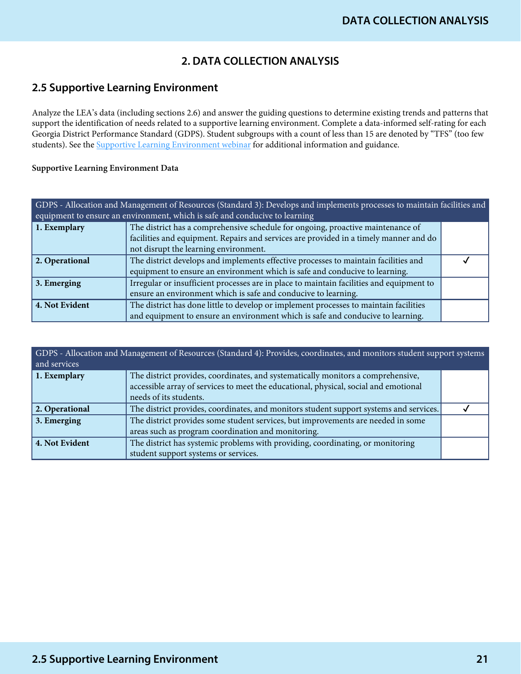# **2. DATA COLLECTION ANALYSIS**

# **2.5 Supportive Learning Environment**

Analyze the LEA's data (including sections 2.6) and answer the guiding questions to determine existing trends and patterns that support the identification of needs related to a supportive learning environment. Complete a data-informed self-rating for each Georgia District Performance Standard (GDPS). Student subgroups with a count of less than 15 are denoted by "TFS" (too few students). See the **Supportive Learning Environment webinar** for additional information and guidance.

#### Supportive Learning Environment Data

| GDPS - Allocation and Management of Resources (Standard 3): Develops and implements processes to maintain facilities and<br>equipment to ensure an environment, which is safe and conducive to learning |                                                                                          |  |
|---------------------------------------------------------------------------------------------------------------------------------------------------------------------------------------------------------|------------------------------------------------------------------------------------------|--|
| 1. Exemplary                                                                                                                                                                                            | The district has a comprehensive schedule for ongoing, proactive maintenance of          |  |
|                                                                                                                                                                                                         | facilities and equipment. Repairs and services are provided in a timely manner and do    |  |
|                                                                                                                                                                                                         | not disrupt the learning environment.                                                    |  |
| 2. Operational                                                                                                                                                                                          | The district develops and implements effective processes to maintain facilities and      |  |
|                                                                                                                                                                                                         | equipment to ensure an environment which is safe and conducive to learning.              |  |
| 3. Emerging                                                                                                                                                                                             | Irregular or insufficient processes are in place to maintain facilities and equipment to |  |
|                                                                                                                                                                                                         | ensure an environment which is safe and conducive to learning.                           |  |
| 4. Not Evident                                                                                                                                                                                          | The district has done little to develop or implement processes to maintain facilities    |  |
|                                                                                                                                                                                                         | and equipment to ensure an environment which is safe and conducive to learning.          |  |

| GDPS - Allocation and Management of Resources (Standard 4): Provides, coordinates, and monitors student support systems<br>and services |                                                                                                                |  |
|-----------------------------------------------------------------------------------------------------------------------------------------|----------------------------------------------------------------------------------------------------------------|--|
| 1. Exemplary                                                                                                                            | The district provides, coordinates, and systematically monitors a comprehensive,                               |  |
|                                                                                                                                         | accessible array of services to meet the educational, physical, social and emotional<br>needs of its students. |  |
| 2. Operational                                                                                                                          | The district provides, coordinates, and monitors student support systems and services.                         |  |
| 3. Emerging                                                                                                                             | The district provides some student services, but improvements are needed in some                               |  |
|                                                                                                                                         | areas such as program coordination and monitoring.                                                             |  |
| 4. Not Evident                                                                                                                          | The district has systemic problems with providing, coordinating, or monitoring                                 |  |
|                                                                                                                                         | student support systems or services.                                                                           |  |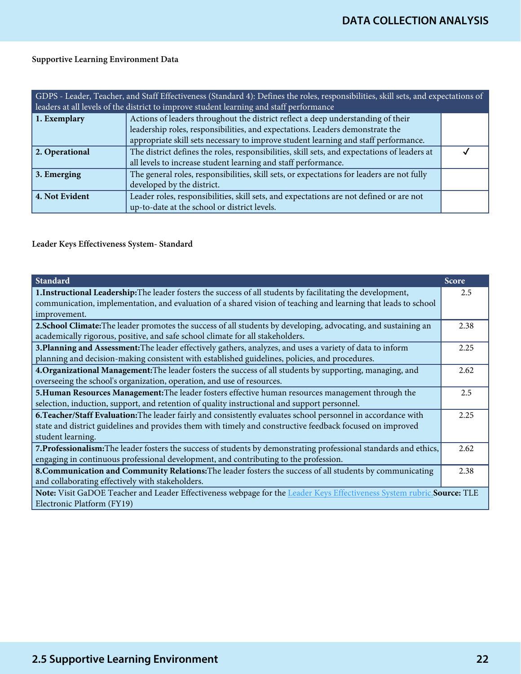## Supportive Learning Environment Data

| GDPS - Leader, Teacher, and Staff Effectiveness (Standard 4): Defines the roles, responsibilities, skill sets, and expectations of<br>leaders at all levels of the district to improve student learning and staff performance |                                                                                              |  |
|-------------------------------------------------------------------------------------------------------------------------------------------------------------------------------------------------------------------------------|----------------------------------------------------------------------------------------------|--|
| 1. Exemplary                                                                                                                                                                                                                  | Actions of leaders throughout the district reflect a deep understanding of their             |  |
|                                                                                                                                                                                                                               | leadership roles, responsibilities, and expectations. Leaders demonstrate the                |  |
|                                                                                                                                                                                                                               | appropriate skill sets necessary to improve student learning and staff performance.          |  |
| 2. Operational                                                                                                                                                                                                                | The district defines the roles, responsibilities, skill sets, and expectations of leaders at |  |
|                                                                                                                                                                                                                               | all levels to increase student learning and staff performance.                               |  |
| 3. Emerging                                                                                                                                                                                                                   | The general roles, responsibilities, skill sets, or expectations for leaders are not fully   |  |
|                                                                                                                                                                                                                               | developed by the district.                                                                   |  |
| 4. Not Evident                                                                                                                                                                                                                | Leader roles, responsibilities, skill sets, and expectations are not defined or are not      |  |
|                                                                                                                                                                                                                               | up-to-date at the school or district levels.                                                 |  |

## Leader Keys Effectiveness System- Standard

| <b>Standard</b>                                                                                                         | <b>Score</b> |  |
|-------------------------------------------------------------------------------------------------------------------------|--------------|--|
| 1. Instructional Leadership: The leader fosters the success of all students by facilitating the development,            | 2.5          |  |
| communication, implementation, and evaluation of a shared vision of teaching and learning that leads to school          |              |  |
| improvement.                                                                                                            |              |  |
| 2. School Climate: The leader promotes the success of all students by developing, advocating, and sustaining an         | 2.38         |  |
| academically rigorous, positive, and safe school climate for all stakeholders.                                          |              |  |
| 3. Planning and Assessment: The leader effectively gathers, analyzes, and uses a variety of data to inform              |              |  |
| planning and decision-making consistent with established guidelines, policies, and procedures.                          |              |  |
| 4. Organizational Management: The leader fosters the success of all students by supporting, managing, and               |              |  |
| overseeing the school's organization, operation, and use of resources.                                                  |              |  |
| 5. Human Resources Management: The leader fosters effective human resources management through the                      |              |  |
| selection, induction, support, and retention of quality instructional and support personnel.                            |              |  |
| 6. Teacher/Staff Evaluation: The leader fairly and consistently evaluates school personnel in accordance with           |              |  |
| state and district guidelines and provides them with timely and constructive feedback focused on improved               |              |  |
| student learning.                                                                                                       |              |  |
| 7. Professionalism: The leader fosters the success of students by demonstrating professional standards and ethics,      |              |  |
| engaging in continuous professional development, and contributing to the profession.                                    |              |  |
| 8. Communication and Community Relations: The leader fosters the success of all students by communicating               |              |  |
| and collaborating effectively with stakeholders.                                                                        |              |  |
| Note: Visit GaDOE Teacher and Leader Effectiveness webpage for the Leader Keys Effectiveness System rubric. Source: TLE |              |  |
| Electronic Platform (FY19)                                                                                              |              |  |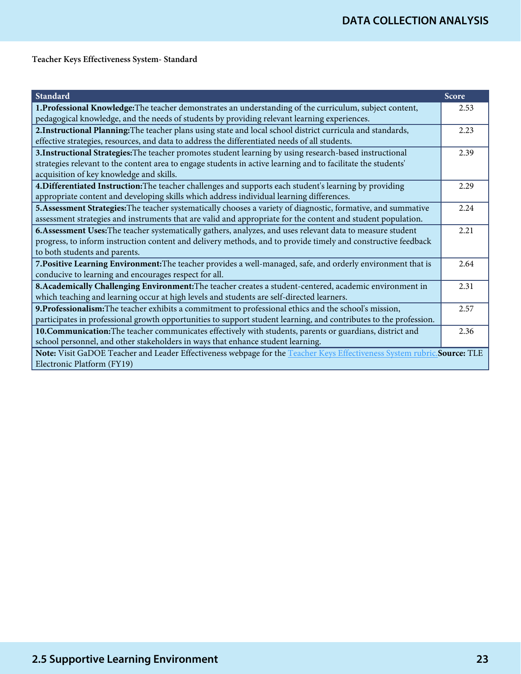Teacher Keys Effectiveness System- Standard

| <b>Standard</b>                                                                                                          | Score |
|--------------------------------------------------------------------------------------------------------------------------|-------|
| 1. Professional Knowledge: The teacher demonstrates an understanding of the curriculum, subject content,                 |       |
| pedagogical knowledge, and the needs of students by providing relevant learning experiences.                             |       |
| 2. Instructional Planning: The teacher plans using state and local school district curricula and standards,              | 2.23  |
| effective strategies, resources, and data to address the differentiated needs of all students.                           |       |
| 3. Instructional Strategies: The teacher promotes student learning by using research-based instructional                 | 2.39  |
| strategies relevant to the content area to engage students in active learning and to facilitate the students'            |       |
| acquisition of key knowledge and skills.                                                                                 |       |
| 4. Differentiated Instruction: The teacher challenges and supports each student's learning by providing                  | 2.29  |
| appropriate content and developing skills which address individual learning differences.                                 |       |
| 5. Assessment Strategies: The teacher systematically chooses a variety of diagnostic, formative, and summative           |       |
| assessment strategies and instruments that are valid and appropriate for the content and student population.             |       |
| 6. Assessment Uses: The teacher systematically gathers, analyzes, and uses relevant data to measure student              |       |
| progress, to inform instruction content and delivery methods, and to provide timely and constructive feedback            |       |
| to both students and parents.                                                                                            |       |
| 7. Positive Learning Environment: The teacher provides a well-managed, safe, and orderly environment that is             |       |
| conducive to learning and encourages respect for all.                                                                    |       |
| 8. Academically Challenging Environment: The teacher creates a student-centered, academic environment in                 |       |
| which teaching and learning occur at high levels and students are self-directed learners.                                |       |
| 9. Professionalism: The teacher exhibits a commitment to professional ethics and the school's mission,                   |       |
| participates in professional growth opportunities to support student learning, and contributes to the profession.        |       |
| 10. Communication: The teacher communicates effectively with students, parents or guardians, district and                |       |
| school personnel, and other stakeholders in ways that enhance student learning.                                          |       |
| Note: Visit GaDOE Teacher and Leader Effectiveness webpage for the Teacher Keys Effectiveness System rubric. Source: TLE |       |
| Electronic Platform (FY19)                                                                                               |       |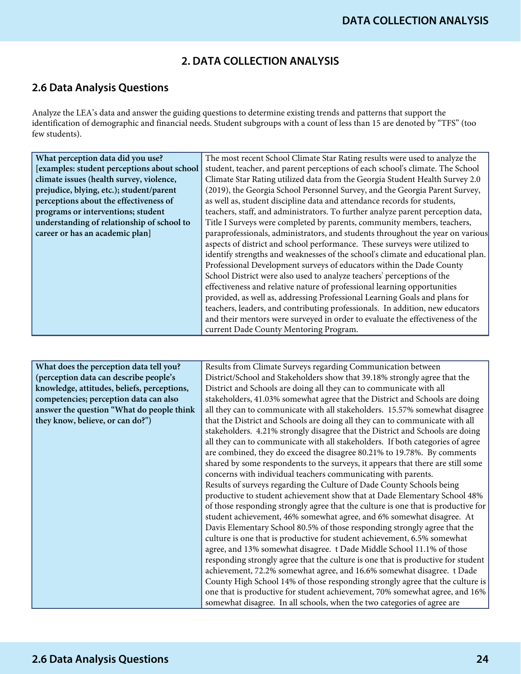# **2. DATA COLLECTION ANALYSIS**

# **2.6 Data Analysis Questions**

Analyze the LEA's data and answer the guiding questions to determine existing trends and patterns that support the identification of demographic and financial needs. Student subgroups with a count of less than 15 are denoted by "TFS" (too few students).

| What perception data did you use?           | The most recent School Climate Star Rating results were used to analyze the     |
|---------------------------------------------|---------------------------------------------------------------------------------|
| [examples: student perceptions about school | student, teacher, and parent perceptions of each school's climate. The School   |
| climate issues (health survey, violence,    | Climate Star Rating utilized data from the Georgia Student Health Survey 2.0    |
| prejudice, blying, etc.); student/parent    | (2019), the Georgia School Personnel Survey, and the Georgia Parent Survey,     |
| perceptions about the effectiveness of      | as well as, student discipline data and attendance records for students,        |
| programs or interventions; student          | teachers, staff, and administrators. To further analyze parent perception data, |
| understanding of relationship of school to  | Title I Surveys were completed by parents, community members, teachers,         |
| career or has an academic plan]             | paraprofessionals, administrators, and students throughout the year on various  |
|                                             | aspects of district and school performance. These surveys were utilized to      |
|                                             | identify strengths and weaknesses of the school's climate and educational plan. |
|                                             | Professional Development surveys of educators within the Dade County            |
|                                             | School District were also used to analyze teachers' perceptions of the          |
|                                             | effectiveness and relative nature of professional learning opportunities        |
|                                             | provided, as well as, addressing Professional Learning Goals and plans for      |
|                                             | teachers, leaders, and contributing professionals. In addition, new educators   |
|                                             | and their mentors were surveyed in order to evaluate the effectiveness of the   |
|                                             | current Dade County Mentoring Program.                                          |

| What does the perception data tell you?     | Results from Climate Surveys regarding Communication between                      |
|---------------------------------------------|-----------------------------------------------------------------------------------|
| (perception data can describe people's      | District/School and Stakeholders show that 39.18% strongly agree that the         |
| knowledge, attitudes, beliefs, perceptions, | District and Schools are doing all they can to communicate with all               |
| competencies; perception data can also      | stakeholders, 41.03% somewhat agree that the District and Schools are doing       |
| answer the question "What do people think   | all they can to communicate with all stakeholders. 15.57% somewhat disagree       |
| they know, believe, or can do?")            | that the District and Schools are doing all they can to communicate with all      |
|                                             | stakeholders. 4.21% strongly disagree that the District and Schools are doing     |
|                                             | all they can to communicate with all stakeholders. If both categories of agree    |
|                                             | are combined, they do exceed the disagree 80.21% to 19.78%. By comments           |
|                                             | shared by some respondents to the surveys, it appears that there are still some   |
|                                             | concerns with individual teachers communicating with parents.                     |
|                                             | Results of surveys regarding the Culture of Dade County Schools being             |
|                                             | productive to student achievement show that at Dade Elementary School 48%         |
|                                             | of those responding strongly agree that the culture is one that is productive for |
|                                             | student achievement, 46% somewhat agree, and 6% somewhat disagree. At             |
|                                             | Davis Elementary School 80.5% of those responding strongly agree that the         |
|                                             | culture is one that is productive for student achievement, 6.5% somewhat          |
|                                             | agree, and 13% somewhat disagree. t Dade Middle School 11.1% of those             |
|                                             | responding strongly agree that the culture is one that is productive for student  |
|                                             | achievement, 72.2% somewhat agree, and 16.6% somewhat disagree. t Dade            |
|                                             | County High School 14% of those responding strongly agree that the culture is     |
|                                             | one that is productive for student achievement, 70% somewhat agree, and 16%       |
|                                             | somewhat disagree. In all schools, when the two categories of agree are           |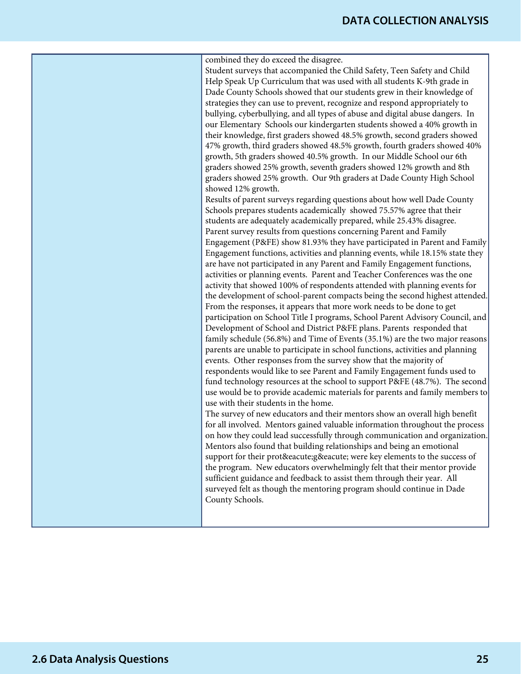# **DATA COLLECTION ANALYSIS**

combined they do exceed the disagree. Student surveys that accompanied the Child Safety, Teen Safety and Child Help Speak Up Curriculum that was used with all students K-9th grade in Dade County Schools showed that our students grew in their knowledge of strategies they can use to prevent, recognize and respond appropriately to bullying, cyberbullying, and all types of abuse and digital abuse dangers. In our Elementary Schools our kindergarten students showed a 40% growth in their knowledge, first graders showed 48.5% growth, second graders showed 47% growth, third graders showed 48.5% growth, fourth graders showed 40% growth, 5th graders showed 40.5% growth. In our Middle School our 6th graders showed 25% growth, seventh graders showed 12% growth and 8th graders showed 25% growth. Our 9th graders at Dade County High School showed 12% growth.

Results of parent surveys regarding questions about how well Dade County Schools prepares students academically showed 75.57% agree that their students are adequately academically prepared, while 25.43% disagree. Parent survey results from questions concerning Parent and Family Engagement (P&FE) show 81.93% they have participated in Parent and Family Engagement functions, activities and planning events, while 18.15% state they are have not participated in any Parent and Family Engagement functions, activities or planning events. Parent and Teacher Conferences was the one activity that showed 100% of respondents attended with planning events for the development of school-parent compacts being the second highest attended. From the responses, it appears that more work needs to be done to get participation on School Title I programs, School Parent Advisory Council, and Development of School and District P&FE plans. Parents responded that family schedule (56.8%) and Time of Events (35.1%) are the two major reasons parents are unable to participate in school functions, activities and planning events. Other responses from the survey show that the majority of respondents would like to see Parent and Family Engagement funds used to fund technology resources at the school to support P&FE (48.7%). The second use would be to provide academic materials for parents and family members to use with their students in the home.

The survey of new educators and their mentors show an overall high benefit for all involved. Mentors gained valuable information throughout the process on how they could lead successfully through communication and organization. Mentors also found that building relationships and being an emotional support for their proté gé were key elements to the success of the program. New educators overwhelmingly felt that their mentor provide sufficient guidance and feedback to assist them through their year. All surveyed felt as though the mentoring program should continue in Dade County Schools.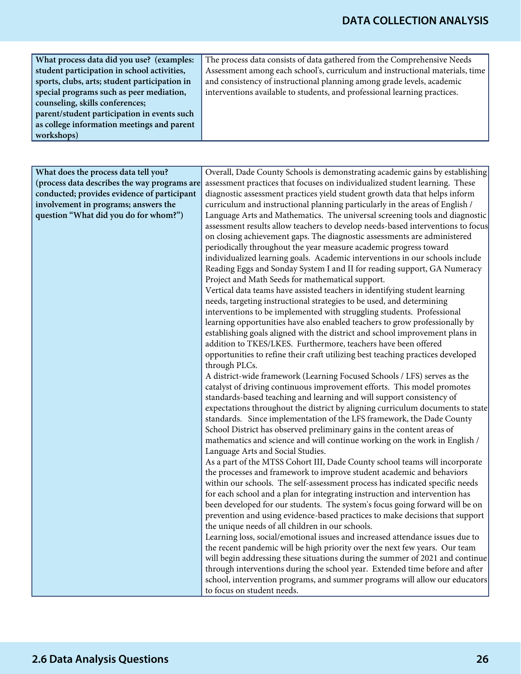| What process data did you use? (examples:     | The process data consists of data gathered from the Comprehensive Needs      |
|-----------------------------------------------|------------------------------------------------------------------------------|
| student participation in school activities,   | Assessment among each school's, curriculum and instructional materials, time |
| sports, clubs, arts; student participation in | and consistency of instructional planning among grade levels, academic       |
| special programs such as peer mediation,      | interventions available to students, and professional learning practices.    |
| counseling, skills conferences;               |                                                                              |
| parent/student participation in events such   |                                                                              |
| as college information meetings and parent    |                                                                              |
| workshops)                                    |                                                                              |

| What does the process data tell you?         | Overall, Dade County Schools is demonstrating academic gains by establishing                                                                                 |
|----------------------------------------------|--------------------------------------------------------------------------------------------------------------------------------------------------------------|
| (process data describes the way programs are | assessment practices that focuses on individualized student learning. These                                                                                  |
| conducted; provides evidence of participant  | diagnostic assessment practices yield student growth data that helps inform                                                                                  |
| involvement in programs; answers the         | curriculum and instructional planning particularly in the areas of English /                                                                                 |
| question "What did you do for whom?")        | Language Arts and Mathematics. The universal screening tools and diagnostic                                                                                  |
|                                              | assessment results allow teachers to develop needs-based interventions to focus                                                                              |
|                                              | on closing achievement gaps. The diagnostic assessments are administered                                                                                     |
|                                              | periodically throughout the year measure academic progress toward                                                                                            |
|                                              | individualized learning goals. Academic interventions in our schools include                                                                                 |
|                                              | Reading Eggs and Sonday System I and II for reading support, GA Numeracy                                                                                     |
|                                              | Project and Math Seeds for mathematical support.                                                                                                             |
|                                              | Vertical data teams have assisted teachers in identifying student learning                                                                                   |
|                                              | needs, targeting instructional strategies to be used, and determining                                                                                        |
|                                              | interventions to be implemented with struggling students. Professional                                                                                       |
|                                              | learning opportunities have also enabled teachers to grow professionally by                                                                                  |
|                                              | establishing goals aligned with the district and school improvement plans in                                                                                 |
|                                              | addition to TKES/LKES. Furthermore, teachers have been offered                                                                                               |
|                                              | opportunities to refine their craft utilizing best teaching practices developed                                                                              |
|                                              | through PLCs.                                                                                                                                                |
|                                              | A district-wide framework (Learning Focused Schools / LFS) serves as the                                                                                     |
|                                              | catalyst of driving continuous improvement efforts. This model promotes                                                                                      |
|                                              | standards-based teaching and learning and will support consistency of                                                                                        |
|                                              | expectations throughout the district by aligning curriculum documents to state                                                                               |
|                                              | standards. Since implementation of the LFS framework, the Dade County                                                                                        |
|                                              | School District has observed preliminary gains in the content areas of                                                                                       |
|                                              | mathematics and science and will continue working on the work in English /                                                                                   |
|                                              | Language Arts and Social Studies.                                                                                                                            |
|                                              | As a part of the MTSS Cohort III, Dade County school teams will incorporate                                                                                  |
|                                              | the processes and framework to improve student academic and behaviors                                                                                        |
|                                              | within our schools. The self-assessment process has indicated specific needs                                                                                 |
|                                              | for each school and a plan for integrating instruction and intervention has                                                                                  |
|                                              | been developed for our students. The system's focus going forward will be on                                                                                 |
|                                              | prevention and using evidence-based practices to make decisions that support                                                                                 |
|                                              | the unique needs of all children in our schools.                                                                                                             |
|                                              | Learning loss, social/emotional issues and increased attendance issues due to<br>the recent pandemic will be high priority over the next few years. Our team |
|                                              | will begin addressing these situations during the summer of 2021 and continue                                                                                |
|                                              | through interventions during the school year. Extended time before and after                                                                                 |
|                                              | school, intervention programs, and summer programs will allow our educators                                                                                  |
|                                              | to focus on student needs.                                                                                                                                   |
|                                              |                                                                                                                                                              |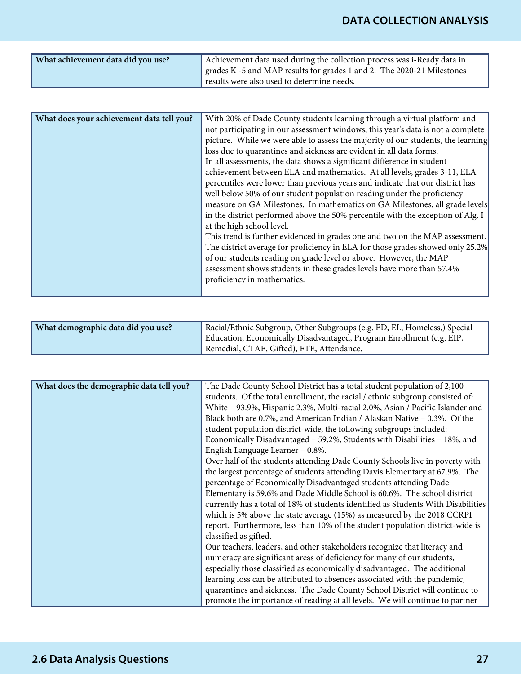| Achievement data used during the collection process was i-Ready data in                                              |
|----------------------------------------------------------------------------------------------------------------------|
| grades K -5 and MAP results for grades 1 and 2. The 2020-21 Milestones<br>results were also used to determine needs. |
|                                                                                                                      |

| What does your achievement data tell you? | With 20% of Dade County students learning through a virtual platform and         |
|-------------------------------------------|----------------------------------------------------------------------------------|
|                                           | not participating in our assessment windows, this year's data is not a complete  |
|                                           | picture. While we were able to assess the majority of our students, the learning |
|                                           | loss due to quarantines and sickness are evident in all data forms.              |
|                                           | In all assessments, the data shows a significant difference in student           |
|                                           | achievement between ELA and mathematics. At all levels, grades 3-11, ELA         |
|                                           | percentiles were lower than previous years and indicate that our district has    |
|                                           | well below 50% of our student population reading under the proficiency           |
|                                           | measure on GA Milestones. In mathematics on GA Milestones, all grade levels      |
|                                           | in the district performed above the 50% percentile with the exception of Alg. I  |
|                                           | at the high school level.                                                        |
|                                           | This trend is further evidenced in grades one and two on the MAP assessment.     |
|                                           | The district average for proficiency in ELA for those grades showed only 25.2%   |
|                                           | of our students reading on grade level or above. However, the MAP                |
|                                           | assessment shows students in these grades levels have more than 57.4%            |
|                                           | proficiency in mathematics.                                                      |
|                                           |                                                                                  |

|  | What demographic data did you use? | Racial/Ethnic Subgroup, Other Subgroups (e.g. ED, EL, Homeless,) Special<br>Education, Economically Disadvantaged, Program Enrollment (e.g. EIP,<br>Remedial, CTAE, Gifted), FTE, Attendance. |
|--|------------------------------------|-----------------------------------------------------------------------------------------------------------------------------------------------------------------------------------------------|
|--|------------------------------------|-----------------------------------------------------------------------------------------------------------------------------------------------------------------------------------------------|

| What does the demographic data tell you? | The Dade County School District has a total student population of 2,100           |
|------------------------------------------|-----------------------------------------------------------------------------------|
|                                          | students. Of the total enrollment, the racial / ethnic subgroup consisted of:     |
|                                          | White - 93.9%, Hispanic 2.3%, Multi-racial 2.0%, Asian / Pacific Islander and     |
|                                          | Black both are 0.7%, and American Indian / Alaskan Native - 0.3%. Of the          |
|                                          | student population district-wide, the following subgroups included:               |
|                                          | Economically Disadvantaged - 59.2%, Students with Disabilities - 18%, and         |
|                                          | English Language Learner - 0.8%.                                                  |
|                                          | Over half of the students attending Dade County Schools live in poverty with      |
|                                          | the largest percentage of students attending Davis Elementary at 67.9%. The       |
|                                          | percentage of Economically Disadvantaged students attending Dade                  |
|                                          | Elementary is 59.6% and Dade Middle School is 60.6%. The school district          |
|                                          | currently has a total of 18% of students identified as Students With Disabilities |
|                                          | which is 5% above the state average $(15%)$ as measured by the 2018 CCRPI         |
|                                          | report. Furthermore, less than 10% of the student population district-wide is     |
|                                          | classified as gifted.                                                             |
|                                          | Our teachers, leaders, and other stakeholders recognize that literacy and         |
|                                          | numeracy are significant areas of deficiency for many of our students,            |
|                                          | especially those classified as economically disadvantaged. The additional         |
|                                          | learning loss can be attributed to absences associated with the pandemic,         |
|                                          | quarantines and sickness. The Dade County School District will continue to        |
|                                          | promote the importance of reading at all levels. We will continue to partner      |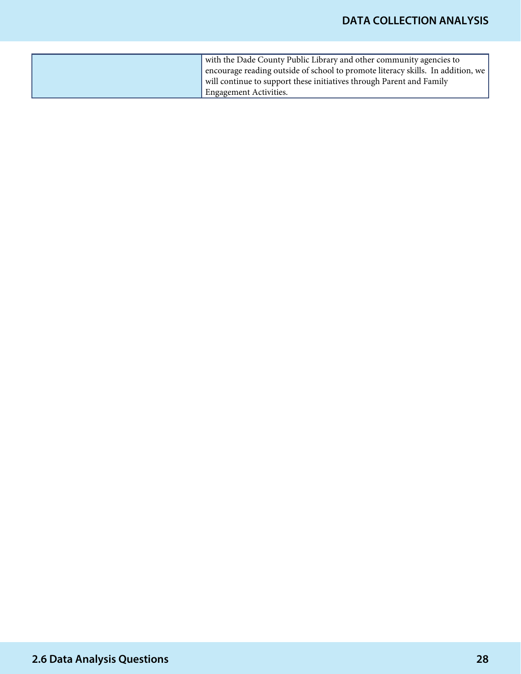| with the Dade County Public Library and other community agencies to             |
|---------------------------------------------------------------------------------|
| encourage reading outside of school to promote literacy skills. In addition, we |
| will continue to support these initiatives through Parent and Family            |
| <sup>I</sup> Engagement Activities.                                             |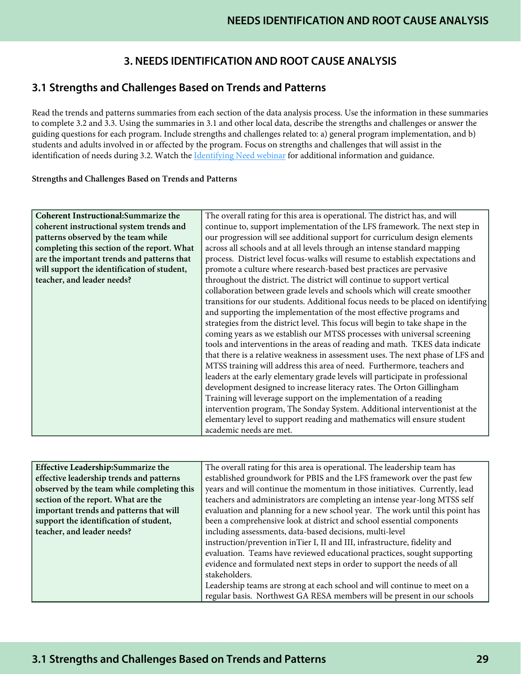# **3. NEEDS IDENTIFICATION AND ROOT CAUSE ANALYSIS**

# **3.1 Strengths and Challenges Based on Trends and Patterns**

Read the trends and patterns summaries from each section of the data analysis process. Use the information in these summaries to complete 3.2 and 3.3. Using the summaries in 3.1 and other local data, describe the strengths and challenges or answer the guiding questions for each program. Include strengths and challenges related to: a) general program implementation, and b) students and adults involved in or affected by the program. Focus on strengths and challenges that will assist in the identification of needs during 3.2. Watch the [Identifying Need webinar](https://www.gadoe.org/School-Improvement/School-Improvement-Services/Pages/Georgia%E2%80%99s-Systems-of-Continuous-Improvement.aspx) for additional information and guidance.

#### Strengths and Challenges Based on Trends and Patterns

| Coherent Instructional: Summarize the       | The overall rating for this area is operational. The district has, and will      |
|---------------------------------------------|----------------------------------------------------------------------------------|
| coherent instructional system trends and    | continue to, support implementation of the LFS framework. The next step in       |
| patterns observed by the team while         | our progression will see additional support for curriculum design elements       |
| completing this section of the report. What | across all schools and at all levels through an intense standard mapping         |
| are the important trends and patterns that  | process. District level focus-walks will resume to establish expectations and    |
| will support the identification of student, | promote a culture where research-based best practices are pervasive              |
| teacher, and leader needs?                  | throughout the district. The district will continue to support vertical          |
|                                             | collaboration between grade levels and schools which will create smoother        |
|                                             | transitions for our students. Additional focus needs to be placed on identifying |
|                                             | and supporting the implementation of the most effective programs and             |
|                                             | strategies from the district level. This focus will begin to take shape in the   |
|                                             | coming years as we establish our MTSS processes with universal screening         |
|                                             | tools and interventions in the areas of reading and math. TKES data indicate     |
|                                             | that there is a relative weakness in assessment uses. The next phase of LFS and  |
|                                             | MTSS training will address this area of need. Furthermore, teachers and          |
|                                             | leaders at the early elementary grade levels will participate in professional    |
|                                             | development designed to increase literacy rates. The Orton Gillingham            |
|                                             | Training will leverage support on the implementation of a reading                |
|                                             | intervention program, The Sonday System. Additional interventionist at the       |
|                                             | elementary level to support reading and mathematics will ensure student          |
|                                             | academic needs are met.                                                          |

| Effective Leadership:Summarize the         | The overall rating for this area is operational. The leadership team has     |
|--------------------------------------------|------------------------------------------------------------------------------|
| effective leadership trends and patterns   | established groundwork for PBIS and the LFS framework over the past few      |
| observed by the team while completing this | years and will continue the momentum in those initiatives. Currently, lead   |
| section of the report. What are the        | teachers and administrators are completing an intense year-long MTSS self    |
| important trends and patterns that will    | evaluation and planning for a new school year. The work until this point has |
| support the identification of student,     | been a comprehensive look at district and school essential components        |
| teacher, and leader needs?                 | including assessments, data-based decisions, multi-level                     |
|                                            | instruction/prevention inTier I, II and III, infrastructure, fidelity and    |
|                                            | evaluation. Teams have reviewed educational practices, sought supporting     |
|                                            | evidence and formulated next steps in order to support the needs of all      |
|                                            | stakeholders.                                                                |
|                                            | Leadership teams are strong at each school and will continue to meet on a    |
|                                            | regular basis. Northwest GA RESA members will be present in our schools      |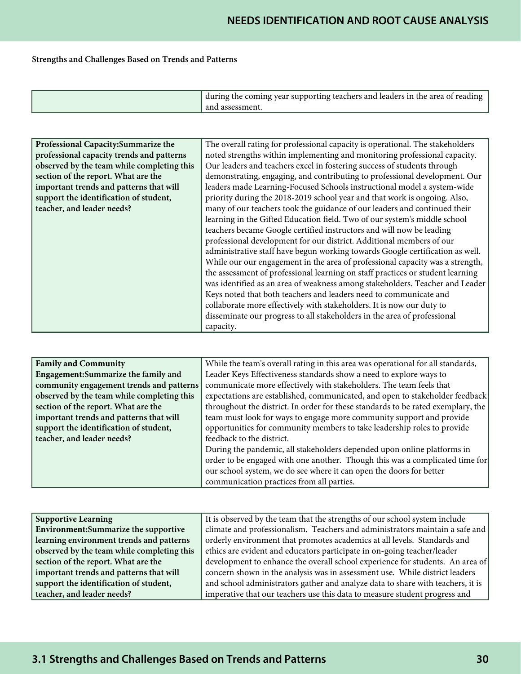## Strengths and Challenges Based on Trends and Patterns

| and assessment." |
|------------------|
|------------------|

| Professional Capacity: Summarize the       | The overall rating for professional capacity is operational. The stakeholders  |
|--------------------------------------------|--------------------------------------------------------------------------------|
| professional capacity trends and patterns  | noted strengths within implementing and monitoring professional capacity.      |
| observed by the team while completing this | Our leaders and teachers excel in fostering success of students through        |
| section of the report. What are the        | demonstrating, engaging, and contributing to professional development. Our     |
| important trends and patterns that will    | leaders made Learning-Focused Schools instructional model a system-wide        |
| support the identification of student,     | priority during the 2018-2019 school year and that work is ongoing. Also,      |
| teacher, and leader needs?                 | many of our teachers took the guidance of our leaders and continued their      |
|                                            | learning in the Gifted Education field. Two of our system's middle school      |
|                                            | teachers became Google certified instructors and will now be leading           |
|                                            | professional development for our district. Additional members of our           |
|                                            | administrative staff have begun working towards Google certification as well.  |
|                                            | While our our engagement in the area of professional capacity was a strength,  |
|                                            | the assessment of professional learning on staff practices or student learning |
|                                            | was identified as an area of weakness among stakeholders. Teacher and Leader   |
|                                            | Keys noted that both teachers and leaders need to communicate and              |
|                                            | collaborate more effectively with stakeholders. It is now our duty to          |
|                                            | disseminate our progress to all stakeholders in the area of professional       |
|                                            | capacity.                                                                      |

| <b>Family and Community</b>                | While the team's overall rating in this area was operational for all standards,  |
|--------------------------------------------|----------------------------------------------------------------------------------|
| Engagement: Summarize the family and       | Leader Keys Effectiveness standards show a need to explore ways to               |
| community engagement trends and patterns   | communicate more effectively with stakeholders. The team feels that              |
| observed by the team while completing this | expectations are established, communicated, and open to stakeholder feedback     |
| section of the report. What are the        | throughout the district. In order for these standards to be rated exemplary, the |
| important trends and patterns that will    | team must look for ways to engage more community support and provide             |
| support the identification of student,     | opportunities for community members to take leadership roles to provide          |
| teacher, and leader needs?                 | feedback to the district.                                                        |
|                                            | During the pandemic, all stakeholders depended upon online platforms in          |
|                                            | order to be engaged with one another. Though this was a complicated time for     |
|                                            | our school system, we do see where it can open the doors for better              |
|                                            | communication practices from all parties.                                        |

| <b>Supportive Learning</b>                 | It is observed by the team that the strengths of our school system include      |
|--------------------------------------------|---------------------------------------------------------------------------------|
| Environment: Summarize the supportive      | climate and professionalism. Teachers and administrators maintain a safe and    |
| learning environment trends and patterns   | orderly environment that promotes academics at all levels. Standards and        |
| observed by the team while completing this | ethics are evident and educators participate in on-going teacher/leader         |
| section of the report. What are the        | development to enhance the overall school experience for students. An area of   |
| important trends and patterns that will    | concern shown in the analysis was in assessment use. While district leaders     |
| support the identification of student,     | and school administrators gather and analyze data to share with teachers, it is |
| teacher, and leader needs?                 | imperative that our teachers use this data to measure student progress and      |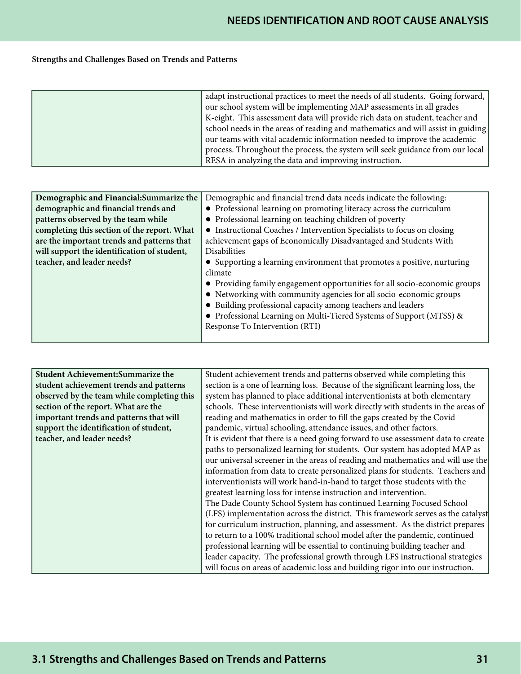## Strengths and Challenges Based on Trends and Patterns

| adapt instructional practices to meet the needs of all students. Going forward, |
|---------------------------------------------------------------------------------|
| our school system will be implementing MAP assessments in all grades            |
| K-eight. This assessment data will provide rich data on student, teacher and    |
| school needs in the areas of reading and mathematics and will assist in guiding |
| our teams with vital academic information needed to improve the academic        |
| process. Throughout the process, the system will seek guidance from our local   |
| RESA in analyzing the data and improving instruction.                           |

| Demographic and Financial: Summarize the    | Demographic and financial trend data needs indicate the following:        |
|---------------------------------------------|---------------------------------------------------------------------------|
| demographic and financial trends and        | • Professional learning on promoting literacy across the curriculum       |
| patterns observed by the team while         | • Professional learning on teaching children of poverty                   |
| completing this section of the report. What | • Instructional Coaches / Intervention Specialists to focus on closing    |
| are the important trends and patterns that  | achievement gaps of Economically Disadvantaged and Students With          |
| will support the identification of student, | <b>Disabilities</b>                                                       |
| teacher, and leader needs?                  | • Supporting a learning environment that promotes a positive, nurturing   |
|                                             | climate                                                                   |
|                                             | • Providing family engagement opportunities for all socio-economic groups |
|                                             | • Networking with community agencies for all socio-economic groups        |
|                                             | • Building professional capacity among teachers and leaders               |
|                                             | • Professional Learning on Multi-Tiered Systems of Support (MTSS) &       |
|                                             | Response To Intervention (RTI)                                            |
|                                             |                                                                           |

| Student Achievement: Summarize the         | Student achievement trends and patterns observed while completing this            |
|--------------------------------------------|-----------------------------------------------------------------------------------|
| student achievement trends and patterns    | section is a one of learning loss. Because of the significant learning loss, the  |
| observed by the team while completing this | system has planned to place additional interventionists at both elementary        |
| section of the report. What are the        | schools. These interventionists will work directly with students in the areas of  |
| important trends and patterns that will    | reading and mathematics in order to fill the gaps created by the Covid            |
| support the identification of student,     | pandemic, virtual schooling, attendance issues, and other factors.                |
| teacher, and leader needs?                 | It is evident that there is a need going forward to use assessment data to create |
|                                            | paths to personalized learning for students. Our system has adopted MAP as        |
|                                            | our universal screener in the areas of reading and mathematics and will use the   |
|                                            | information from data to create personalized plans for students. Teachers and     |
|                                            | interventionists will work hand-in-hand to target those students with the         |
|                                            | greatest learning loss for intense instruction and intervention.                  |
|                                            | The Dade County School System has continued Learning Focused School               |
|                                            | (LFS) implementation across the district. This framework serves as the catalyst   |
|                                            | for curriculum instruction, planning, and assessment. As the district prepares    |
|                                            | to return to a 100% traditional school model after the pandemic, continued        |
|                                            | professional learning will be essential to continuing building teacher and        |
|                                            | leader capacity. The professional growth through LFS instructional strategies     |
|                                            | will focus on areas of academic loss and building rigor into our instruction.     |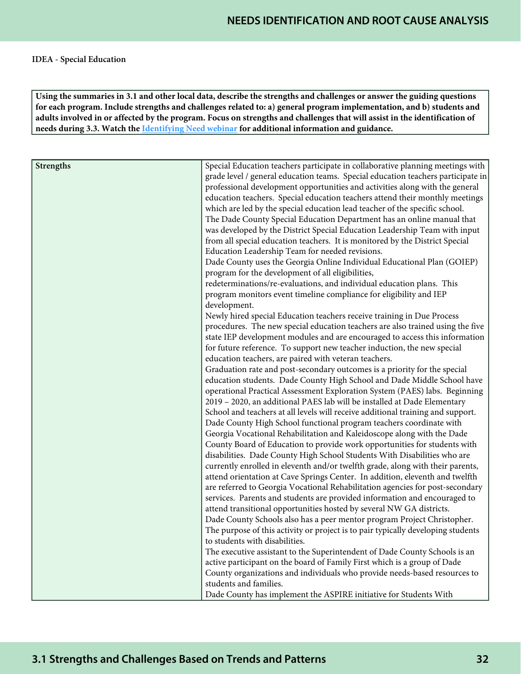**Using the summaries in 3.1 and other local data, describe the strengths and challenges or answer the guiding questions for each program. Include strengths and challenges related to: a) general program implementation, and b) students and adults involved in or affected by the program. Focus on strengths and challenges that will assist in the identification of needs during 3.3. Watch the [Identifying Need webinar](https://www.gadoe.org/School-Improvement/School-Improvement-Services/Pages/Georgia%E2%80%99s-Systems-of-Continuous-Improvement.aspx) for additional information and guidance.**

| Strengths | Special Education teachers participate in collaborative planning meetings with                                             |
|-----------|----------------------------------------------------------------------------------------------------------------------------|
|           | grade level / general education teams. Special education teachers participate in                                           |
|           | professional development opportunities and activities along with the general                                               |
|           | education teachers. Special education teachers attend their monthly meetings                                               |
|           | which are led by the special education lead teacher of the specific school.                                                |
|           | The Dade County Special Education Department has an online manual that                                                     |
|           | was developed by the District Special Education Leadership Team with input                                                 |
|           | from all special education teachers. It is monitored by the District Special                                               |
|           | Education Leadership Team for needed revisions.<br>Dade County uses the Georgia Online Individual Educational Plan (GOIEP) |
|           |                                                                                                                            |
|           | program for the development of all eligibilities,<br>redeterminations/re-evaluations, and individual education plans. This |
|           | program monitors event timeline compliance for eligibility and IEP                                                         |
|           | development.                                                                                                               |
|           | Newly hired special Education teachers receive training in Due Process                                                     |
|           | procedures. The new special education teachers are also trained using the five                                             |
|           | state IEP development modules and are encouraged to access this information                                                |
|           | for future reference. To support new teacher induction, the new special                                                    |
|           | education teachers, are paired with veteran teachers.                                                                      |
|           | Graduation rate and post-secondary outcomes is a priority for the special                                                  |
|           | education students. Dade County High School and Dade Middle School have                                                    |
|           | operational Practical Assessment Exploration System (PAES) labs. Beginning                                                 |
|           | 2019 - 2020, an additional PAES lab will be installed at Dade Elementary                                                   |
|           | School and teachers at all levels will receive additional training and support.                                            |
|           | Dade County High School functional program teachers coordinate with                                                        |
|           | Georgia Vocational Rehabilitation and Kaleidoscope along with the Dade                                                     |
|           | County Board of Education to provide work opportunities for students with                                                  |
|           | disabilities. Dade County High School Students With Disabilities who are                                                   |
|           | currently enrolled in eleventh and/or twelfth grade, along with their parents,                                             |
|           | attend orientation at Cave Springs Center. In addition, eleventh and twelfth                                               |
|           | are referred to Georgia Vocational Rehabilitation agencies for post-secondary                                              |
|           | services. Parents and students are provided information and encouraged to                                                  |
|           | attend transitional opportunities hosted by several NW GA districts.                                                       |
|           | Dade County Schools also has a peer mentor program Project Christopher.                                                    |
|           | The purpose of this activity or project is to pair typically developing students                                           |
|           | to students with disabilities.                                                                                             |
|           | The executive assistant to the Superintendent of Dade County Schools is an                                                 |
|           | active participant on the board of Family First which is a group of Dade                                                   |
|           | County organizations and individuals who provide needs-based resources to<br>students and families.                        |
|           |                                                                                                                            |
|           | Dade County has implement the ASPIRE initiative for Students With                                                          |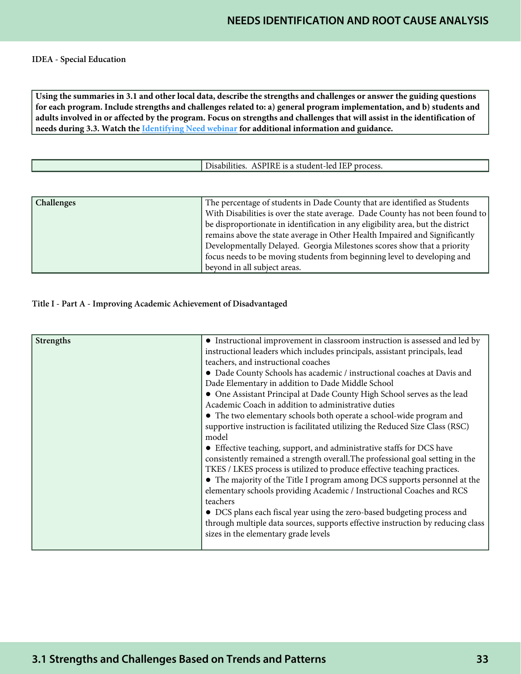#### IDEA - Special Education

**Using the summaries in 3.1 and other local data, describe the strengths and challenges or answer the guiding questions for each program. Include strengths and challenges related to: a) general program implementation, and b) students and adults involved in or affected by the program. Focus on strengths and challenges that will assist in the identification of needs during 3.3. Watch the [Identifying Need webinar](https://www.gadoe.org/School-Improvement/School-Improvement-Services/Pages/Georgia%E2%80%99s-Systems-of-Continuous-Improvement.aspx) for additional information and guidance.**

| ' process.<br>. is a student-led-<br>risabilities.<br>. IEP.<br>$\triangle$<br>-11815 |
|---------------------------------------------------------------------------------------|
|---------------------------------------------------------------------------------------|

| Challenges | The percentage of students in Dade County that are identified as Students       |
|------------|---------------------------------------------------------------------------------|
|            | With Disabilities is over the state average. Dade County has not been found to  |
|            | be disproportionate in identification in any eligibility area, but the district |
|            | remains above the state average in Other Health Impaired and Significantly      |
|            | Developmentally Delayed. Georgia Milestones scores show that a priority         |
|            | focus needs to be moving students from beginning level to developing and        |
|            | beyond in all subject areas.                                                    |

#### Title I - Part A - Improving Academic Achievement of Disadvantaged

| <b>Strengths</b> | • Instructional improvement in classroom instruction is assessed and led by     |
|------------------|---------------------------------------------------------------------------------|
|                  | instructional leaders which includes principals, assistant principals, lead     |
|                  | teachers, and instructional coaches                                             |
|                  | • Dade County Schools has academic / instructional coaches at Davis and         |
|                  | Dade Elementary in addition to Dade Middle School                               |
|                  | • One Assistant Principal at Dade County High School serves as the lead         |
|                  | Academic Coach in addition to administrative duties                             |
|                  | • The two elementary schools both operate a school-wide program and             |
|                  | supportive instruction is facilitated utilizing the Reduced Size Class (RSC)    |
|                  | model                                                                           |
|                  | • Effective teaching, support, and administrative staffs for DCS have           |
|                  | consistently remained a strength overall. The professional goal setting in the  |
|                  | TKES / LKES process is utilized to produce effective teaching practices.        |
|                  | • The majority of the Title I program among DCS supports personnel at the       |
|                  | elementary schools providing Academic / Instructional Coaches and RCS           |
|                  | teachers                                                                        |
|                  | • DCS plans each fiscal year using the zero-based budgeting process and         |
|                  | through multiple data sources, supports effective instruction by reducing class |
|                  | sizes in the elementary grade levels                                            |
|                  |                                                                                 |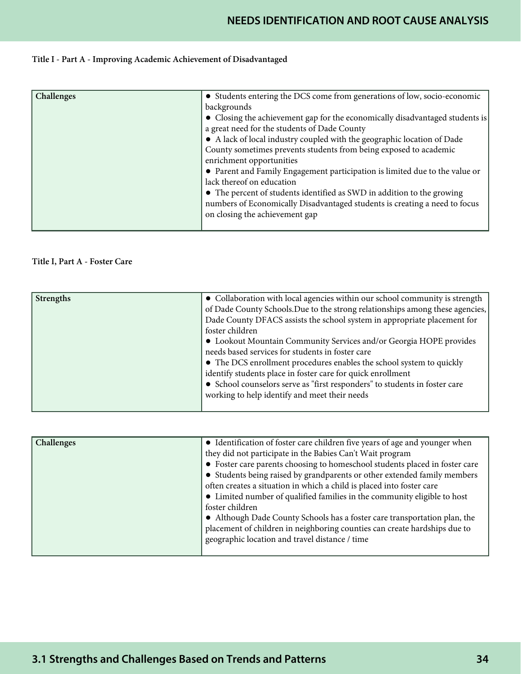# **NEEDS IDENTIFICATION AND ROOT CAUSE ANALYSIS**

## Title I - Part A - Improving Academic Achievement of Disadvantaged

| Challenges | • Students entering the DCS come from generations of low, socio-economic     |
|------------|------------------------------------------------------------------------------|
|            | backgrounds                                                                  |
|            | • Closing the achievement gap for the economically disadvantaged students is |
|            | a great need for the students of Dade County                                 |
|            | • A lack of local industry coupled with the geographic location of Dade      |
|            | County sometimes prevents students from being exposed to academic            |
|            | enrichment opportunities                                                     |
|            | • Parent and Family Engagement participation is limited due to the value or  |
|            | lack thereof on education                                                    |
|            | • The percent of students identified as SWD in addition to the growing       |
|            | numbers of Economically Disadvantaged students is creating a need to focus   |
|            | on closing the achievement gap                                               |
|            |                                                                              |

#### Title I, Part A - Foster Care

| <b>Strengths</b> | • Collaboration with local agencies within our school community is strength   |
|------------------|-------------------------------------------------------------------------------|
|                  | of Dade County Schools. Due to the strong relationships among these agencies, |
|                  | Dade County DFACS assists the school system in appropriate placement for      |
|                  | foster children                                                               |
|                  | • Lookout Mountain Community Services and/or Georgia HOPE provides            |
|                  | needs based services for students in foster care                              |
|                  | • The DCS enrollment procedures enables the school system to quickly          |
|                  | identify students place in foster care for quick enrollment                   |
|                  | • School counselors serve as "first responders" to students in foster care    |
|                  | working to help identify and meet their needs                                 |
|                  |                                                                               |

| Challenges | • Identification of foster care children five years of age and younger when |
|------------|-----------------------------------------------------------------------------|
|            |                                                                             |
|            | they did not participate in the Babies Can't Wait program                   |
|            | • Foster care parents choosing to homeschool students placed in foster care |
|            | • Students being raised by grandparents or other extended family members    |
|            | often creates a situation in which a child is placed into foster care       |
|            | • Limited number of qualified families in the community eligible to host    |
|            | foster children                                                             |
|            | • Although Dade County Schools has a foster care transportation plan, the   |
|            | placement of children in neighboring counties can create hardships due to   |
|            | geographic location and travel distance / time                              |
|            |                                                                             |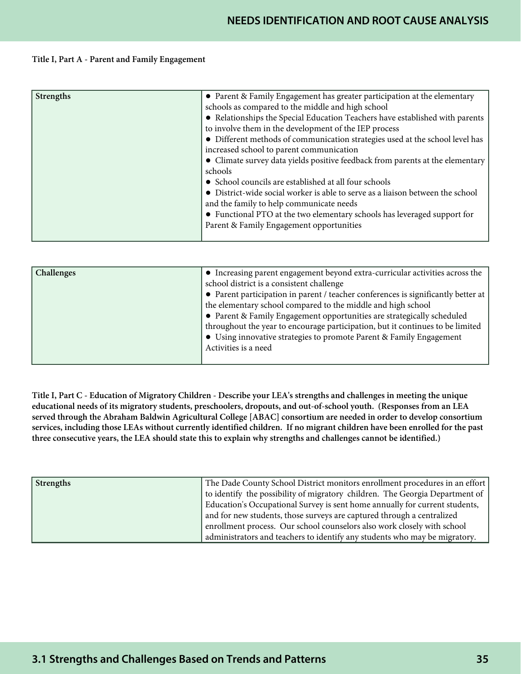#### Title I, Part A - Parent and Family Engagement

| <b>Strengths</b> | • Parent & Family Engagement has greater participation at the elementary       |
|------------------|--------------------------------------------------------------------------------|
|                  | schools as compared to the middle and high school                              |
|                  | • Relationships the Special Education Teachers have established with parents   |
|                  | to involve them in the development of the IEP process                          |
|                  | • Different methods of communication strategies used at the school level has   |
|                  | increased school to parent communication                                       |
|                  | • Climate survey data yields positive feedback from parents at the elementary  |
|                  | schools                                                                        |
|                  | • School councils are established at all four schools                          |
|                  | • District-wide social worker is able to serve as a liaison between the school |
|                  | and the family to help communicate needs                                       |
|                  | • Functional PTO at the two elementary schools has leveraged support for       |
|                  | Parent & Family Engagement opportunities                                       |
|                  |                                                                                |

| Challenges | • Increasing parent engagement beyond extra-curricular activities across the      |
|------------|-----------------------------------------------------------------------------------|
|            | school district is a consistent challenge                                         |
|            | • Parent participation in parent / teacher conferences is significantly better at |
|            | the elementary school compared to the middle and high school                      |
|            | • Parent & Family Engagement opportunities are strategically scheduled            |
|            | throughout the year to encourage participation, but it continues to be limited    |
|            | • Using innovative strategies to promote Parent & Family Engagement               |
|            | Activities is a need                                                              |
|            |                                                                                   |

Title I, Part C - Education of Migratory Children - Describe your LEA's strengths and challenges in meeting the unique educational needs of its migratory students, preschoolers, dropouts, and out-of-school youth. (Responses from an LEA served through the Abraham Baldwin Agricultural College [ABAC] consortium are needed in order to develop consortium services, including those LEAs without currently identified children. If no migrant children have been enrolled for the past three consecutive years, the LEA should state this to explain why strengths and challenges cannot be identified.)

| Strengths | The Dade County School District monitors enrollment procedures in an effort  |
|-----------|------------------------------------------------------------------------------|
|           | to identify the possibility of migratory children. The Georgia Department of |
|           | Education's Occupational Survey is sent home annually for current students,  |
|           | and for new students, those surveys are captured through a centralized       |
|           | enrollment process. Our school counselors also work closely with school      |
|           | administrators and teachers to identify any students who may be migratory.   |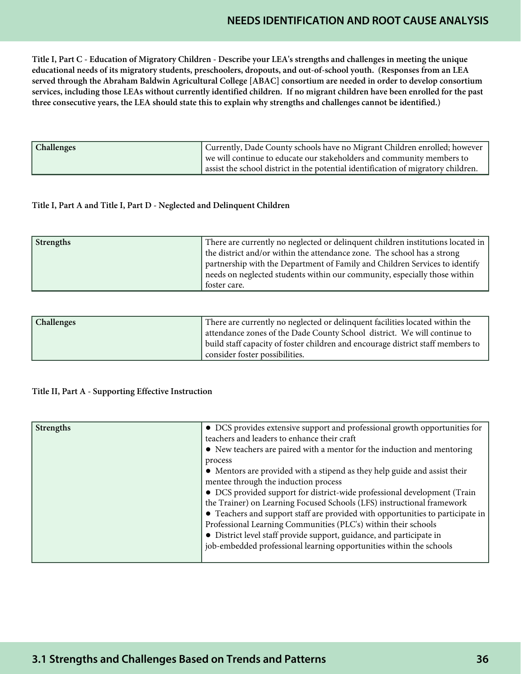# **NEEDS IDENTIFICATION AND ROOT CAUSE ANALYSIS**

Title I, Part C - Education of Migratory Children - Describe your LEA's strengths and challenges in meeting the unique educational needs of its migratory students, preschoolers, dropouts, and out-of-school youth. (Responses from an LEA served through the Abraham Baldwin Agricultural College [ABAC] consortium are needed in order to develop consortium services, including those LEAs without currently identified children. If no migrant children have been enrolled for the past three consecutive years, the LEA should state this to explain why strengths and challenges cannot be identified.)

| Challenges | Currently, Dade County schools have no Migrant Children enrolled; however         |
|------------|-----------------------------------------------------------------------------------|
|            | we will continue to educate our stakeholders and community members to             |
|            | assist the school district in the potential identification of migratory children. |

#### Title I, Part A and Title I, Part D - Neglected and Delinquent Children

| <b>Strengths</b> | There are currently no neglected or delinquent children institutions located in |
|------------------|---------------------------------------------------------------------------------|
|                  | the district and/or within the attendance zone. The school has a strong         |
|                  | partnership with the Department of Family and Children Services to identify     |
|                  | needs on neglected students within our community, especially those within       |
|                  | foster care.                                                                    |

| Challenges | There are currently no neglected or delinquent facilities located within the    |
|------------|---------------------------------------------------------------------------------|
|            | attendance zones of the Dade County School district. We will continue to        |
|            | build staff capacity of foster children and encourage district staff members to |
|            | consider foster possibilities.                                                  |

### Title II, Part A - Supporting Effective Instruction

| <b>Strengths</b> | • DCS provides extensive support and professional growth opportunities for     |
|------------------|--------------------------------------------------------------------------------|
|                  | teachers and leaders to enhance their craft                                    |
|                  | • New teachers are paired with a mentor for the induction and mentoring        |
|                  | process                                                                        |
|                  | • Mentors are provided with a stipend as they help guide and assist their      |
|                  | mentee through the induction process                                           |
|                  | • DCS provided support for district-wide professional development (Train       |
|                  | the Trainer) on Learning Focused Schools (LFS) instructional framework         |
|                  | • Teachers and support staff are provided with opportunities to participate in |
|                  | Professional Learning Communities (PLC's) within their schools                 |
|                  | • District level staff provide support, guidance, and participate in           |
|                  | job-embedded professional learning opportunities within the schools            |
|                  |                                                                                |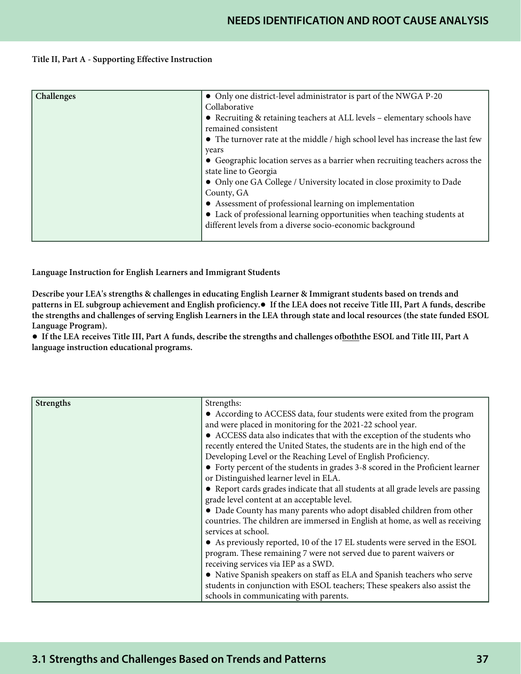#### Title II, Part A - Supporting Effective Instruction

| Challenges | • Only one district-level administrator is part of the NWGA P-20<br>Collaborative<br>• Recruiting & retaining teachers at ALL levels - elementary schools have<br>remained consistent<br>• The turnover rate at the middle / high school level has increase the last few<br>years |
|------------|-----------------------------------------------------------------------------------------------------------------------------------------------------------------------------------------------------------------------------------------------------------------------------------|
|            | • Geographic location serves as a barrier when recruiting teachers across the<br>state line to Georgia<br>• Only one GA College / University located in close proximity to Dade<br>County, GA                                                                                     |
|            | • Assessment of professional learning on implementation<br>• Lack of professional learning opportunities when teaching students at<br>different levels from a diverse socio-economic background                                                                                   |

Language Instruction for English Learners and Immigrant Students

Describe your LEA's strengths & challenges in educating English Learner & Immigrant students based on trends and patterns in EL subgroup achievement and English proficiency.● If the LEA does not receive Title III, Part A funds, describe the strengths and challenges of serving English Learners in the LEA through state and local resources (the state funded ESOL Language Program).

● If the LEA receives Title III, Part A funds, describe the strengths and challenges ofboththe ESOL and Title III, Part A language instruction educational programs.

| Strengths | Strengths:                                                                       |
|-----------|----------------------------------------------------------------------------------|
|           | • According to ACCESS data, four students were exited from the program           |
|           | and were placed in monitoring for the 2021-22 school year.                       |
|           | • ACCESS data also indicates that with the exception of the students who         |
|           | recently entered the United States, the students are in the high end of the      |
|           | Developing Level or the Reaching Level of English Proficiency.                   |
|           | • Forty percent of the students in grades 3-8 scored in the Proficient learner   |
|           | or Distinguished learner level in ELA.                                           |
|           | • Report cards grades indicate that all students at all grade levels are passing |
|           | grade level content at an acceptable level.                                      |
|           | • Dade County has many parents who adopt disabled children from other            |
|           | countries. The children are immersed in English at home, as well as receiving    |
|           | services at school.                                                              |
|           | • As previously reported, 10 of the 17 EL students were served in the ESOL       |
|           | program. These remaining 7 were not served due to parent waivers or              |
|           | receiving services via IEP as a SWD.                                             |
|           | • Native Spanish speakers on staff as ELA and Spanish teachers who serve         |
|           | students in conjunction with ESOL teachers; These speakers also assist the       |
|           | schools in communicating with parents.                                           |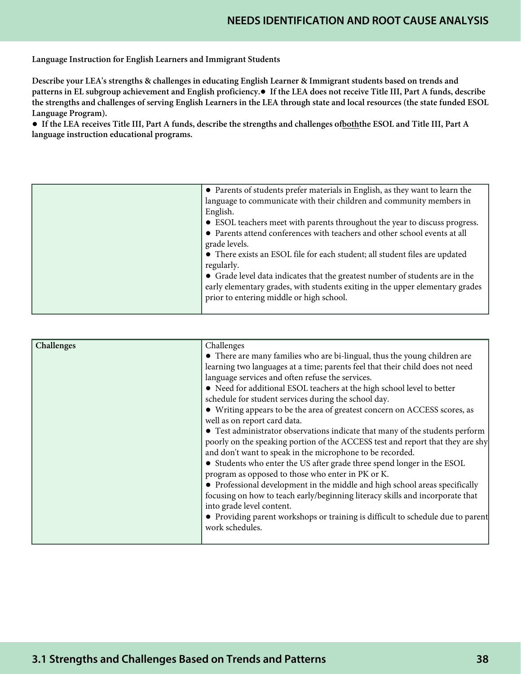Language Instruction for English Learners and Immigrant Students

Describe your LEA's strengths & challenges in educating English Learner & Immigrant students based on trends and patterns in EL subgroup achievement and English proficiency.● If the LEA does not receive Title III, Part A funds, describe the strengths and challenges of serving English Learners in the LEA through state and local resources (the state funded ESOL Language Program).

● If the LEA receives Title III, Part A funds, describe the strengths and challenges ofboththe ESOL and Title III, Part A language instruction educational programs.

| • Parents of students prefer materials in English, as they want to learn the<br>language to communicate with their children and community members in<br>English.<br>• ESOL teachers meet with parents throughout the year to discuss progress.<br>• Parents attend conferences with teachers and other school events at all<br>grade levels.<br>• There exists an ESOL file for each student; all student files are updated<br>regularly.<br>• Grade level data indicates that the greatest number of students are in the<br>early elementary grades, with students exiting in the upper elementary grades<br>prior to entering middle or high school. |
|--------------------------------------------------------------------------------------------------------------------------------------------------------------------------------------------------------------------------------------------------------------------------------------------------------------------------------------------------------------------------------------------------------------------------------------------------------------------------------------------------------------------------------------------------------------------------------------------------------------------------------------------------------|
|                                                                                                                                                                                                                                                                                                                                                                                                                                                                                                                                                                                                                                                        |

| Challenges | Challenges                                                                      |
|------------|---------------------------------------------------------------------------------|
|            | • There are many families who are bi-lingual, thus the young children are       |
|            | learning two languages at a time; parents feel that their child does not need   |
|            | language services and often refuse the services.                                |
|            | • Need for additional ESOL teachers at the high school level to better          |
|            | schedule for student services during the school day.                            |
|            | • Writing appears to be the area of greatest concern on ACCESS scores, as       |
|            | well as on report card data.                                                    |
|            | • Test administrator observations indicate that many of the students perform    |
|            | poorly on the speaking portion of the ACCESS test and report that they are shy  |
|            | and don't want to speak in the microphone to be recorded.                       |
|            | • Students who enter the US after grade three spend longer in the ESOL          |
|            | program as opposed to those who enter in PK or K.                               |
|            | • Professional development in the middle and high school areas specifically     |
|            | focusing on how to teach early/beginning literacy skills and incorporate that   |
|            | into grade level content.                                                       |
|            | • Providing parent workshops or training is difficult to schedule due to parent |
|            | work schedules.                                                                 |
|            |                                                                                 |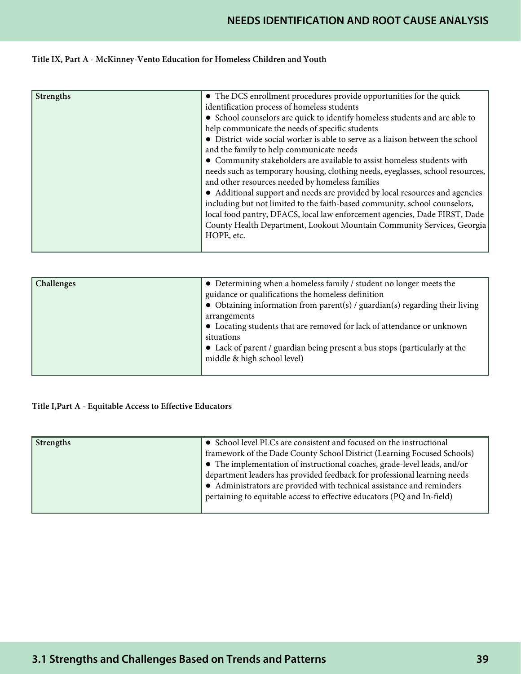# **NEEDS IDENTIFICATION AND ROOT CAUSE ANALYSIS**

## Title IX, Part A - McKinney-Vento Education for Homeless Children and Youth

| Strengths | • The DCS enrollment procedures provide opportunities for the quick<br>identification process of homeless students<br>• School counselors are quick to identify homeless students and are able to<br>help communicate the needs of specific students<br>• District-wide social worker is able to serve as a liaison between the school<br>and the family to help communicate needs                                                                      |
|-----------|---------------------------------------------------------------------------------------------------------------------------------------------------------------------------------------------------------------------------------------------------------------------------------------------------------------------------------------------------------------------------------------------------------------------------------------------------------|
|           | • Community stakeholders are available to assist homeless students with<br>needs such as temporary housing, clothing needs, eyeglasses, school resources,<br>and other resources needed by homeless families<br>• Additional support and needs are provided by local resources and agencies<br>including but not limited to the faith-based community, school counselors,<br>local food pantry, DFACS, local law enforcement agencies, Dade FIRST, Dade |
|           | County Health Department, Lookout Mountain Community Services, Georgia<br>HOPE, etc.                                                                                                                                                                                                                                                                                                                                                                    |

| Challenges | • Determining when a homeless family / student no longer meets the                  |
|------------|-------------------------------------------------------------------------------------|
|            | guidance or qualifications the homeless definition                                  |
|            | $\bullet$ Obtaining information from parent(s) / guardian(s) regarding their living |
|            | arrangements                                                                        |
|            | • Locating students that are removed for lack of attendance or unknown              |
|            | situations                                                                          |
|            | • Lack of parent / guardian being present a bus stops (particularly at the          |
|            | middle & high school level)                                                         |
|            |                                                                                     |

## Title I,Part A - Equitable Access to Effective Educators

| Strengths | $\bullet~$ School level PLCs are consistent and focused on the instructional<br>framework of the Dade County School District (Learning Focused Schools)<br>• The implementation of instructional coaches, grade-level leads, and/or |
|-----------|-------------------------------------------------------------------------------------------------------------------------------------------------------------------------------------------------------------------------------------|
|           | department leaders has provided feedback for professional learning needs<br>• Administrators are provided with technical assistance and reminders<br>pertaining to equitable access to effective educators (PQ and In-field)        |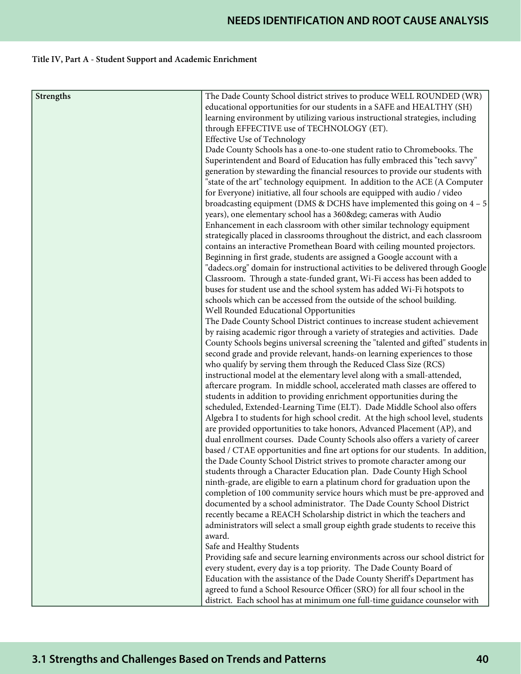# Title IV, Part A - Student Support and Academic Enrichment

| <b>Strengths</b> | The Dade County School district strives to produce WELL ROUNDED (WR)             |
|------------------|----------------------------------------------------------------------------------|
|                  | educational opportunities for our students in a SAFE and HEALTHY (SH)            |
|                  | learning environment by utilizing various instructional strategies, including    |
|                  | through EFFECTIVE use of TECHNOLOGY (ET).                                        |
|                  | <b>Effective Use of Technology</b>                                               |
|                  | Dade County Schools has a one-to-one student ratio to Chromebooks. The           |
|                  | Superintendent and Board of Education has fully embraced this "tech savvy"       |
|                  | generation by stewarding the financial resources to provide our students with    |
|                  | "state of the art" technology equipment. In addition to the ACE (A Computer      |
|                  | for Everyone) initiative, all four schools are equipped with audio / video       |
|                  | broadcasting equipment (DMS & DCHS have implemented this going on $4 - 5$ )      |
|                  | years), one elementary school has a 360° cameras with Audio                      |
|                  | Enhancement in each classroom with other similar technology equipment            |
|                  | strategically placed in classrooms throughout the district, and each classroom   |
|                  | contains an interactive Promethean Board with ceiling mounted projectors.        |
|                  | Beginning in first grade, students are assigned a Google account with a          |
|                  | "dadecs.org" domain for instructional activities to be delivered through Google  |
|                  | Classroom. Through a state-funded grant, Wi-Fi access has been added to          |
|                  | buses for student use and the school system has added Wi-Fi hotspots to          |
|                  | schools which can be accessed from the outside of the school building.           |
|                  | Well Rounded Educational Opportunities                                           |
|                  | The Dade County School District continues to increase student achievement        |
|                  | by raising academic rigor through a variety of strategies and activities. Dade   |
|                  | County Schools begins universal screening the "talented and gifted" students in  |
|                  | second grade and provide relevant, hands-on learning experiences to those        |
|                  | who qualify by serving them through the Reduced Class Size (RCS)                 |
|                  | instructional model at the elementary level along with a small-attended,         |
|                  | aftercare program. In middle school, accelerated math classes are offered to     |
|                  | students in addition to providing enrichment opportunities during the            |
|                  | scheduled, Extended-Learning Time (ELT). Dade Middle School also offers          |
|                  | Algebra I to students for high school credit. At the high school level, students |
|                  | are provided opportunities to take honors, Advanced Placement (AP), and          |
|                  | dual enrollment courses. Dade County Schools also offers a variety of career     |
|                  | based / CTAE opportunities and fine art options for our students. In addition,   |
|                  | the Dade County School District strives to promote character among our           |
|                  | students through a Character Education plan. Dade County High School             |
|                  | ninth-grade, are eligible to earn a platinum chord for graduation upon the       |
|                  | completion of 100 community service hours which must be pre-approved and         |
|                  | documented by a school administrator. The Dade County School District            |
|                  | recently became a REACH Scholarship district in which the teachers and           |
|                  | administrators will select a small group eighth grade students to receive this   |
|                  | award.                                                                           |
|                  | Safe and Healthy Students                                                        |
|                  | Providing safe and secure learning environments across our school district for   |
|                  | every student, every day is a top priority. The Dade County Board of             |
|                  | Education with the assistance of the Dade County Sheriff's Department has        |
|                  | agreed to fund a School Resource Officer (SRO) for all four school in the        |
|                  | district. Each school has at minimum one full-time guidance counselor with       |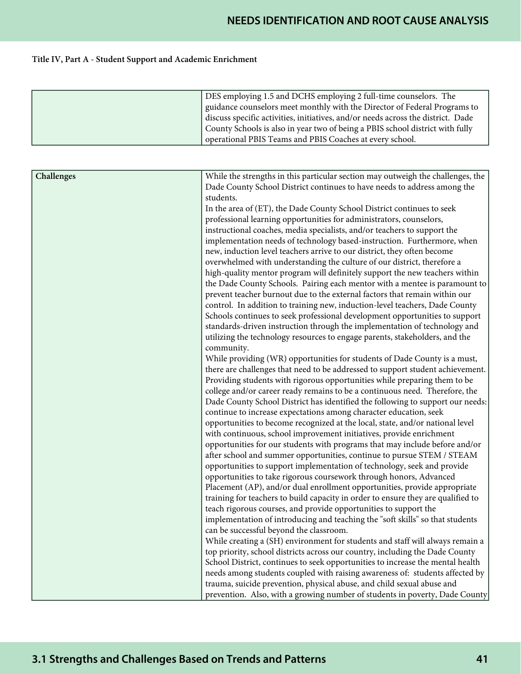# Title IV, Part A - Student Support and Academic Enrichment

|            | DES employing 1.5 and DCHS employing 2 full-time counselors. The                                                                                                                                                                                                                                                                                                                                                                                                                                                                                                                                                                                                                                                                                                                                                                                                                                                                                                                                                                                                                                                                                                                                                                                                                                                                                                                                                                                                                                                                                                                                                                                                                                                                                                                                                                                                                                                                                                                                                                                                                                                                                                                                                                                                                                                                                                                                                                                                                                                                                                                                                                                                                                                                                                                                                                                                                                                                                                                                                                           |
|------------|--------------------------------------------------------------------------------------------------------------------------------------------------------------------------------------------------------------------------------------------------------------------------------------------------------------------------------------------------------------------------------------------------------------------------------------------------------------------------------------------------------------------------------------------------------------------------------------------------------------------------------------------------------------------------------------------------------------------------------------------------------------------------------------------------------------------------------------------------------------------------------------------------------------------------------------------------------------------------------------------------------------------------------------------------------------------------------------------------------------------------------------------------------------------------------------------------------------------------------------------------------------------------------------------------------------------------------------------------------------------------------------------------------------------------------------------------------------------------------------------------------------------------------------------------------------------------------------------------------------------------------------------------------------------------------------------------------------------------------------------------------------------------------------------------------------------------------------------------------------------------------------------------------------------------------------------------------------------------------------------------------------------------------------------------------------------------------------------------------------------------------------------------------------------------------------------------------------------------------------------------------------------------------------------------------------------------------------------------------------------------------------------------------------------------------------------------------------------------------------------------------------------------------------------------------------------------------------------------------------------------------------------------------------------------------------------------------------------------------------------------------------------------------------------------------------------------------------------------------------------------------------------------------------------------------------------------------------------------------------------------------------------------------------------|
|            | guidance counselors meet monthly with the Director of Federal Programs to                                                                                                                                                                                                                                                                                                                                                                                                                                                                                                                                                                                                                                                                                                                                                                                                                                                                                                                                                                                                                                                                                                                                                                                                                                                                                                                                                                                                                                                                                                                                                                                                                                                                                                                                                                                                                                                                                                                                                                                                                                                                                                                                                                                                                                                                                                                                                                                                                                                                                                                                                                                                                                                                                                                                                                                                                                                                                                                                                                  |
|            | discuss specific activities, initiatives, and/or needs across the district. Dade                                                                                                                                                                                                                                                                                                                                                                                                                                                                                                                                                                                                                                                                                                                                                                                                                                                                                                                                                                                                                                                                                                                                                                                                                                                                                                                                                                                                                                                                                                                                                                                                                                                                                                                                                                                                                                                                                                                                                                                                                                                                                                                                                                                                                                                                                                                                                                                                                                                                                                                                                                                                                                                                                                                                                                                                                                                                                                                                                           |
|            | County Schools is also in year two of being a PBIS school district with fully                                                                                                                                                                                                                                                                                                                                                                                                                                                                                                                                                                                                                                                                                                                                                                                                                                                                                                                                                                                                                                                                                                                                                                                                                                                                                                                                                                                                                                                                                                                                                                                                                                                                                                                                                                                                                                                                                                                                                                                                                                                                                                                                                                                                                                                                                                                                                                                                                                                                                                                                                                                                                                                                                                                                                                                                                                                                                                                                                              |
|            | operational PBIS Teams and PBIS Coaches at every school.                                                                                                                                                                                                                                                                                                                                                                                                                                                                                                                                                                                                                                                                                                                                                                                                                                                                                                                                                                                                                                                                                                                                                                                                                                                                                                                                                                                                                                                                                                                                                                                                                                                                                                                                                                                                                                                                                                                                                                                                                                                                                                                                                                                                                                                                                                                                                                                                                                                                                                                                                                                                                                                                                                                                                                                                                                                                                                                                                                                   |
|            |                                                                                                                                                                                                                                                                                                                                                                                                                                                                                                                                                                                                                                                                                                                                                                                                                                                                                                                                                                                                                                                                                                                                                                                                                                                                                                                                                                                                                                                                                                                                                                                                                                                                                                                                                                                                                                                                                                                                                                                                                                                                                                                                                                                                                                                                                                                                                                                                                                                                                                                                                                                                                                                                                                                                                                                                                                                                                                                                                                                                                                            |
| Challenges | While the strengths in this particular section may outweigh the challenges, the<br>Dade County School District continues to have needs to address among the<br>students.<br>In the area of (ET), the Dade County School District continues to seek<br>professional learning opportunities for administrators, counselors,<br>instructional coaches, media specialists, and/or teachers to support the<br>implementation needs of technology based-instruction. Furthermore, when<br>new, induction level teachers arrive to our district, they often become<br>overwhelmed with understanding the culture of our district, therefore a<br>high-quality mentor program will definitely support the new teachers within<br>the Dade County Schools. Pairing each mentor with a mentee is paramount to<br>prevent teacher burnout due to the external factors that remain within our<br>control. In addition to training new, induction-level teachers, Dade County<br>Schools continues to seek professional development opportunities to support<br>standards-driven instruction through the implementation of technology and<br>utilizing the technology resources to engage parents, stakeholders, and the<br>community.<br>While providing (WR) opportunities for students of Dade County is a must,<br>there are challenges that need to be addressed to support student achievement.<br>Providing students with rigorous opportunities while preparing them to be<br>college and/or career ready remains to be a continuous need. Therefore, the<br>Dade County School District has identified the following to support our needs:<br>continue to increase expectations among character education, seek<br>opportunities to become recognized at the local, state, and/or national level<br>with continuous, school improvement initiatives, provide enrichment<br>opportunities for our students with programs that may include before and/or<br>after school and summer opportunities, continue to pursue STEM / STEAM<br>opportunities to support implementation of technology, seek and provide<br>opportunities to take rigorous coursework through honors, Advanced<br>Placement (AP), and/or dual enrollment opportunities, provide appropriate<br>training for teachers to build capacity in order to ensure they are qualified to<br>teach rigorous courses, and provide opportunities to support the<br>implementation of introducing and teaching the "soft skills" so that students<br>can be successful beyond the classroom.<br>While creating a (SH) environment for students and staff will always remain a<br>top priority, school districts across our country, including the Dade County<br>School District, continues to seek opportunities to increase the mental health<br>needs among students coupled with raising awareness of: students affected by<br>trauma, suicide prevention, physical abuse, and child sexual abuse and<br>prevention. Also, with a growing number of students in poverty, Dade County |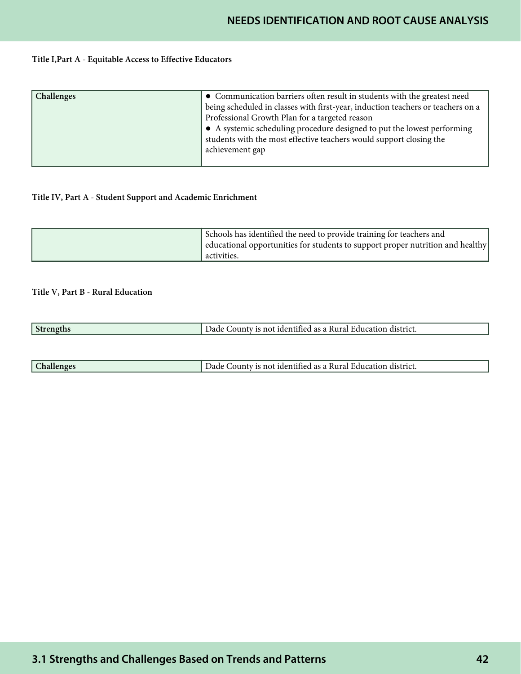#### Title I,Part A - Equitable Access to Effective Educators

| <b>Challenges</b> | • Communication barriers often result in students with the greatest need<br>being scheduled in classes with first-year, induction teachers or teachers on a                                                         |
|-------------------|---------------------------------------------------------------------------------------------------------------------------------------------------------------------------------------------------------------------|
|                   | Professional Growth Plan for a targeted reason<br>• A systemic scheduling procedure designed to put the lowest performing<br>students with the most effective teachers would support closing the<br>achievement gap |

## Title IV, Part A - Student Support and Academic Enrichment

| Schools has identified the need to provide training for teachers and           |
|--------------------------------------------------------------------------------|
| educational opportunities for students to support proper nutrition and healthy |
| cactivities.                                                                   |

## Title V, Part B - Rural Education

| نه ا | n district.<br>- Education<br>identitied as a Rural .<br>.ounty<br>Jade<br>not |
|------|--------------------------------------------------------------------------------|
|      |                                                                                |

| $\sim$ | district<br>,,,,,,<br>aec<br>lade<br>аан<br>.OU<br>пон<br>ונזו<br>янна<br>111<br>14 I |
|--------|---------------------------------------------------------------------------------------|
|        |                                                                                       |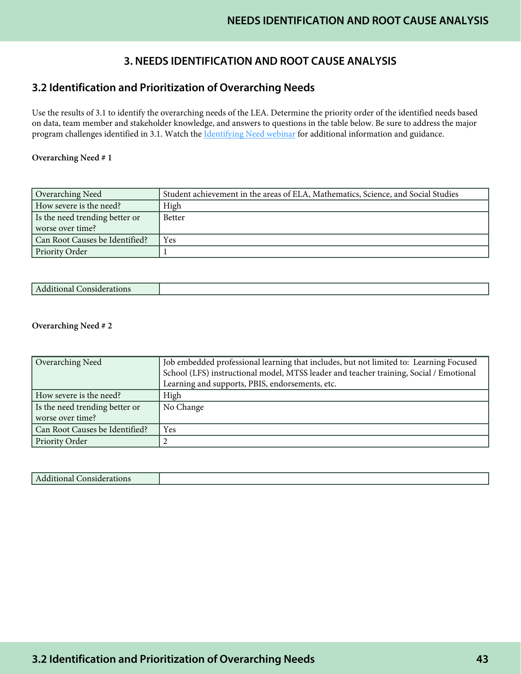# **3. NEEDS IDENTIFICATION AND ROOT CAUSE ANALYSIS**

# **3.2 Identification and Prioritization of Overarching Needs**

Use the results of 3.1 to identify the overarching needs of the LEA. Determine the priority order of the identified needs based on data, team member and stakeholder knowledge, and answers to questions in the table below. Be sure to address the major program challenges identified in 3.1. Watch the [Identifying Need webinar](https://www.gadoe.org/School-Improvement/School-Improvement-Services/Pages/Georgia%E2%80%99s-Systems-of-Continuous-Improvement.aspx) for additional information and guidance.

### Overarching Need # 1

| Overarching Need               | Student achievement in the areas of ELA, Mathematics, Science, and Social Studies |
|--------------------------------|-----------------------------------------------------------------------------------|
| How severe is the need?        | High                                                                              |
| Is the need trending better or | <b>Better</b>                                                                     |
| worse over time?               |                                                                                   |
| Can Root Causes be Identified? | Yes                                                                               |
| Priority Order                 |                                                                                   |

| CONSIGERATIONS<br>uunai |  |
|-------------------------|--|

### Overarching Need # 2

| Overarching Need               | Job embedded professional learning that includes, but not limited to: Learning Focused |
|--------------------------------|----------------------------------------------------------------------------------------|
|                                | School (LFS) instructional model, MTSS leader and teacher training, Social / Emotional |
|                                | Learning and supports, PBIS, endorsements, etc.                                        |
| How severe is the need?        | High                                                                                   |
| Is the need trending better or | No Change                                                                              |
| worse over time?               |                                                                                        |
| Can Root Causes be Identified? | Yes                                                                                    |
| Priority Order                 |                                                                                        |

| Additional<br>тапону<br><b>ARTISTUE</b><br>. |  |
|----------------------------------------------|--|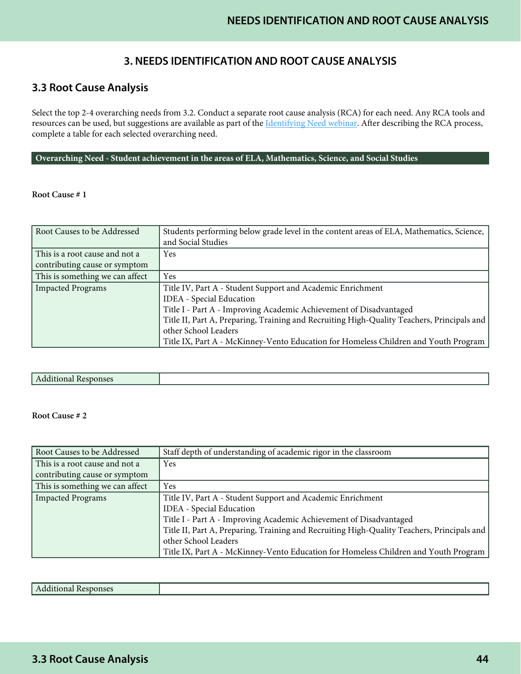# **3. NEEDS IDENTIFICATION AND ROOT CAUSE ANALYSIS**

# **3.3 Root Cause Analysis**

Select the top 2-4 overarching needs from 3.2. Conduct a separate root cause analysis (RCA) for each need. Any RCA tools and resources can be used, but suggestions are available as part of the *Identifying Need webinar*. After describing the RCA process, complete a table for each selected overarching need.

#### **Overarching Need - Student achievement in the areas of ELA, Mathematics, Science, and Social Studies**

#### Root Cause # 1

| Root Causes to be Addressed                                     | Students performing below grade level in the content areas of ELA, Mathematics, Science,<br>and Social Studies |
|-----------------------------------------------------------------|----------------------------------------------------------------------------------------------------------------|
| This is a root cause and not a<br>contributing cause or symptom | Yes                                                                                                            |
| This is something we can affect                                 | <b>Yes</b>                                                                                                     |
| <b>Impacted Programs</b>                                        | Title IV, Part A - Student Support and Academic Enrichment                                                     |
|                                                                 | IDEA - Special Education                                                                                       |
|                                                                 | Title I - Part A - Improving Academic Achievement of Disadvantaged                                             |
|                                                                 | Title II, Part A, Preparing, Training and Recruiting High-Quality Teachers, Principals and                     |
|                                                                 | other School Leaders                                                                                           |
|                                                                 | Title IX, Part A - McKinney-Vento Education for Homeless Children and Youth Program                            |

|--|

| Root Causes to be Addressed     | Staff depth of understanding of academic rigor in the classroom                            |
|---------------------------------|--------------------------------------------------------------------------------------------|
| This is a root cause and not a  | Yes                                                                                        |
| contributing cause or symptom   |                                                                                            |
| This is something we can affect | Yes                                                                                        |
| <b>Impacted Programs</b>        | Title IV, Part A - Student Support and Academic Enrichment                                 |
|                                 | <b>IDEA</b> - Special Education                                                            |
|                                 | Title I - Part A - Improving Academic Achievement of Disadvantaged                         |
|                                 | Title II, Part A, Preparing, Training and Recruiting High-Quality Teachers, Principals and |
|                                 | other School Leaders                                                                       |
|                                 | Title IX, Part A - McKinney-Vento Education for Homeless Children and Youth Program        |

| Responses<br>Auditional<br>. |
|------------------------------|
|------------------------------|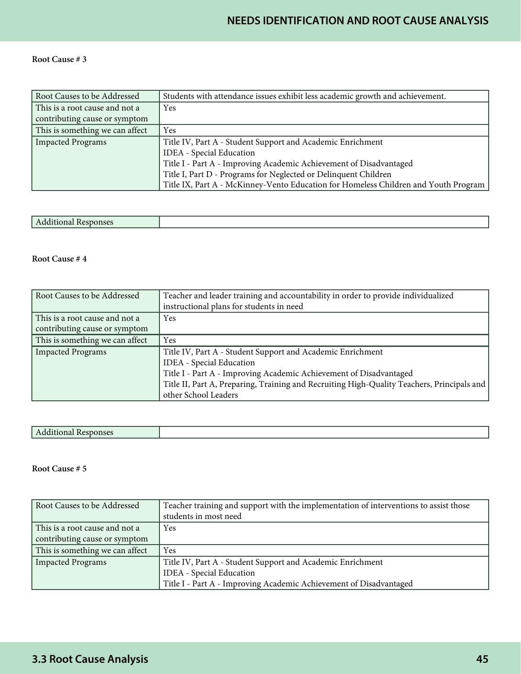## Root Cause # 3

| Root Causes to be Addressed     | Students with attendance issues exhibit less academic growth and achievement.       |
|---------------------------------|-------------------------------------------------------------------------------------|
| This is a root cause and not a  | Yes                                                                                 |
| contributing cause or symptom   |                                                                                     |
| This is something we can affect | <b>Yes</b>                                                                          |
| Impacted Programs               | Title IV, Part A - Student Support and Academic Enrichment                          |
|                                 | <b>IDEA</b> - Special Education                                                     |
|                                 | Title I - Part A - Improving Academic Achievement of Disadvantaged                  |
|                                 | Title I, Part D - Programs for Neglected or Delinquent Children                     |
|                                 | Title IX, Part A - McKinney-Vento Education for Homeless Children and Youth Program |

|--|

## Root Cause # 4

| Root Causes to be Addressed     | Teacher and leader training and accountability in order to provide individualized          |
|---------------------------------|--------------------------------------------------------------------------------------------|
|                                 | instructional plans for students in need                                                   |
| This is a root cause and not a  | Yes                                                                                        |
| contributing cause or symptom   |                                                                                            |
| This is something we can affect | Yes                                                                                        |
| Impacted Programs               | Title IV, Part A - Student Support and Academic Enrichment                                 |
|                                 | <b>IDEA</b> - Special Education                                                            |
|                                 | Title I - Part A - Improving Academic Achievement of Disadvantaged                         |
|                                 | Title II, Part A, Preparing, Training and Recruiting High-Quality Teachers, Principals and |
|                                 | other School Leaders                                                                       |

| Root Causes to be Addressed     | Teacher training and support with the implementation of interventions to assist those |
|---------------------------------|---------------------------------------------------------------------------------------|
|                                 | students in most need                                                                 |
| This is a root cause and not a  | Yes                                                                                   |
| contributing cause or symptom   |                                                                                       |
| This is something we can affect | Yes                                                                                   |
| Impacted Programs               | Title IV, Part A - Student Support and Academic Enrichment                            |
|                                 | <b>IDEA</b> - Special Education                                                       |
|                                 | Title I - Part A - Improving Academic Achievement of Disadvantaged                    |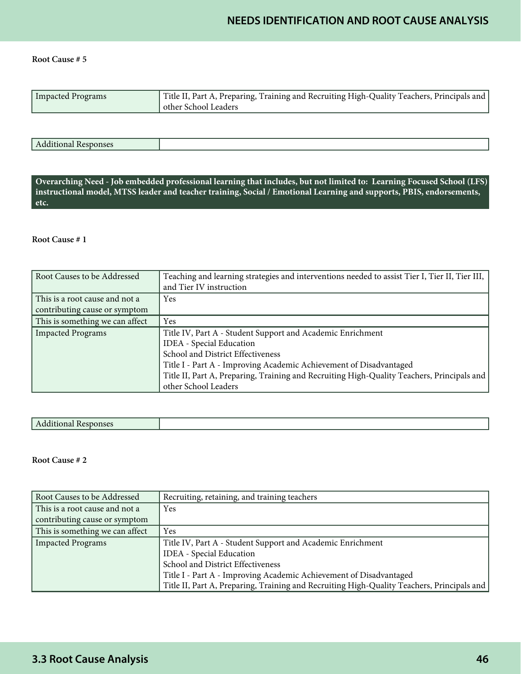#### Root Cause # 5

| Impacted Programs | Title II, Part A, Preparing, Training and Recruiting High-Quality Teachers, Principals and  <br>other School Leaders |
|-------------------|----------------------------------------------------------------------------------------------------------------------|

| $\mathbf{1} \cdot \mathbf{1}$<br>Additional Responses |  |
|-------------------------------------------------------|--|

**Overarching Need - Job embedded professional learning that includes, but not limited to: Learning Focused School (LFS) instructional model, MTSS leader and teacher training, Social / Emotional Learning and supports, PBIS, endorsements, etc.**

## Root Cause # 1

| Root Causes to be Addressed     | Teaching and learning strategies and interventions needed to assist Tier I, Tier II, Tier III,<br>and Tier IV instruction |
|---------------------------------|---------------------------------------------------------------------------------------------------------------------------|
|                                 |                                                                                                                           |
| This is a root cause and not a  | <b>Yes</b>                                                                                                                |
| contributing cause or symptom   |                                                                                                                           |
| This is something we can affect | Yes                                                                                                                       |
| <b>Impacted Programs</b>        | Title IV, Part A - Student Support and Academic Enrichment                                                                |
|                                 | IDEA - Special Education                                                                                                  |
|                                 | School and District Effectiveness                                                                                         |
|                                 | Title I - Part A - Improving Academic Achievement of Disadvantaged                                                        |
|                                 | Title II, Part A, Preparing, Training and Recruiting High-Quality Teachers, Principals and                                |
|                                 | other School Leaders                                                                                                      |

| Additional Res<br>$\mu$ |  |
|-------------------------|--|

| Root Causes to be Addressed     | Recruiting, retaining, and training teachers                                               |
|---------------------------------|--------------------------------------------------------------------------------------------|
| This is a root cause and not a  | Yes                                                                                        |
| contributing cause or symptom   |                                                                                            |
| This is something we can affect | <b>Yes</b>                                                                                 |
| <b>Impacted Programs</b>        | Title IV, Part A - Student Support and Academic Enrichment                                 |
|                                 | <b>IDEA</b> - Special Education                                                            |
|                                 | School and District Effectiveness                                                          |
|                                 | Title I - Part A - Improving Academic Achievement of Disadvantaged                         |
|                                 | Title II, Part A, Preparing, Training and Recruiting High-Quality Teachers, Principals and |